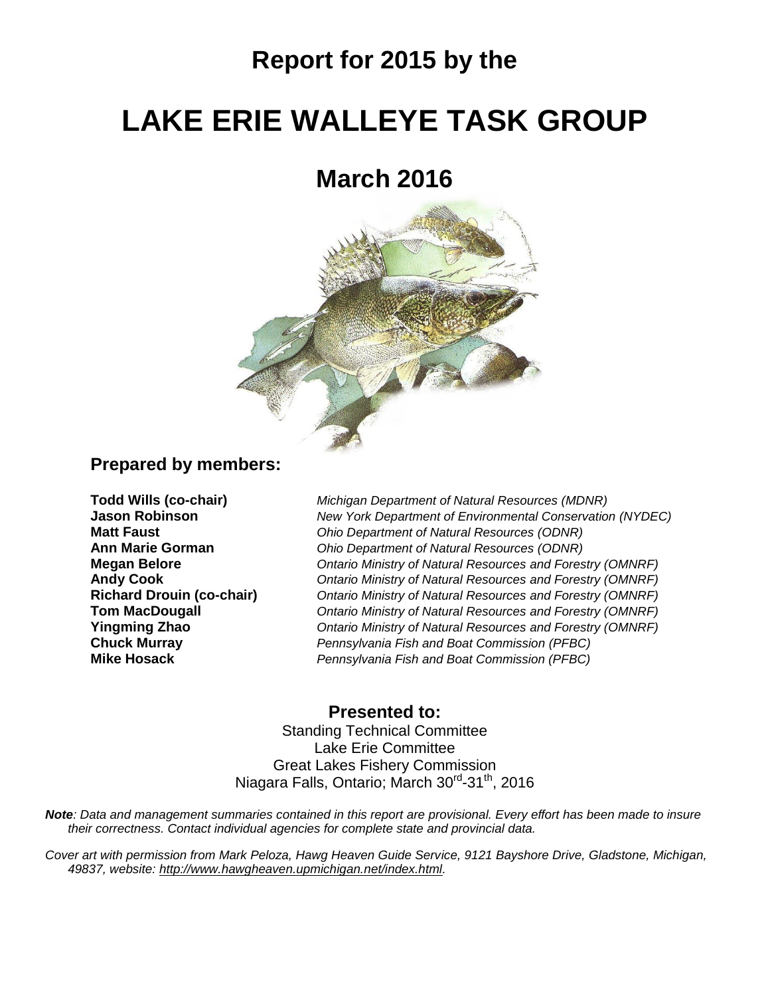## **Report for 2015 by the**

# **LAKE ERIE WALLEYE TASK GROUP**

## **March 2016**



#### **Prepared by members:**

**Todd Wills (co-chair)** *Michigan Department of Natural Resources (MDNR)* **Jason Robinson** *New York Department of Environmental Conservation (NYDEC)* **Matt Faust** *Ohio Department of Natural Resources (ODNR)* **Ann Marie Gorman** *Ohio Department of Natural Resources (ODNR)* **Megan Belore** *Ontario Ministry of Natural Resources and Forestry (OMNRF)* **Andy Cook** *Ontario Ministry of Natural Resources and Forestry (OMNRF)* **Richard Drouin (co-chair)** *Ontario Ministry of Natural Resources and Forestry (OMNRF)* **Tom MacDougall** *Ontario Ministry of Natural Resources and Forestry (OMNRF)* **Yingming Zhao** *Ontario Ministry of Natural Resources and Forestry (OMNRF)* **Chuck Murray** *Pennsylvania Fish and Boat Commission (PFBC)* **Mike Hosack** *Pennsylvania Fish and Boat Commission (PFBC)*

#### **Presented to:**

Standing Technical Committee Lake Erie Committee Great Lakes Fishery Commission Niagara Falls, Ontario; March 30<sup>rd</sup>-31<sup>th</sup>, 2016

*Note: Data and management summaries contained in this report are provisional. Every effort has been made to insure their correctness. Contact individual agencies for complete state and provincial data.*

*Cover art with permission from Mark Peloza, Hawg Heaven Guide Service, 9121 Bayshore Drive, Gladstone, Michigan, 49837, website: [http://www.hawgheaven.upmichigan.net/index.html.](http://www.hawgheaven.upmichigan.net/index.html)*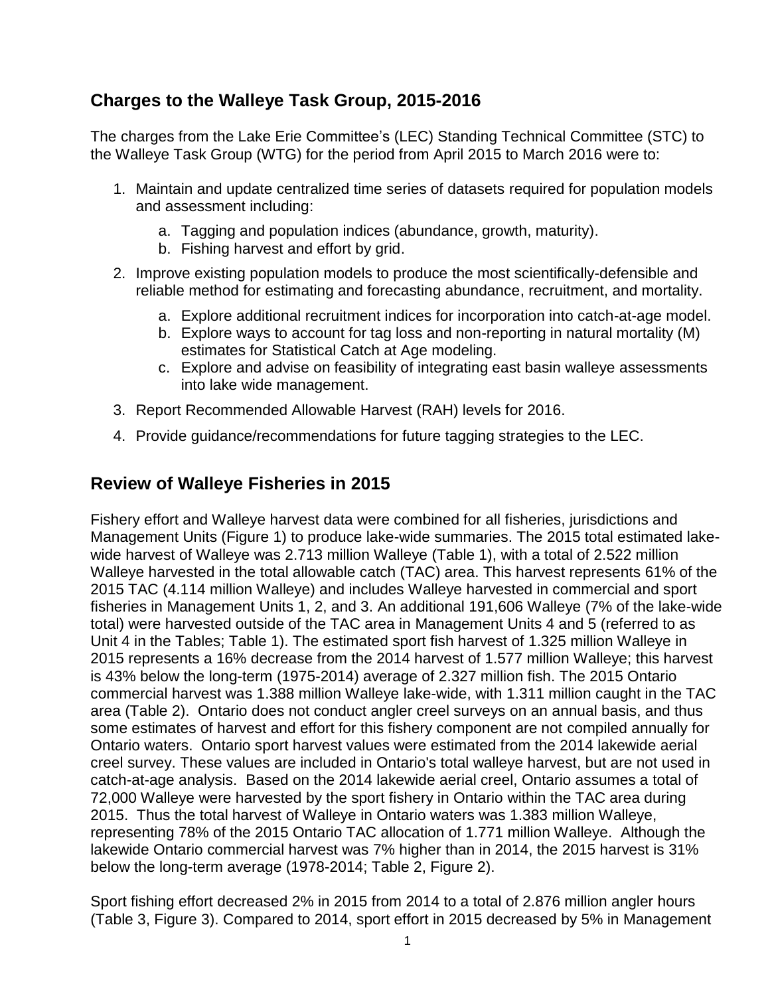## **Charges to the Walleye Task Group, 2015-2016**

The charges from the Lake Erie Committee's (LEC) Standing Technical Committee (STC) to the Walleye Task Group (WTG) for the period from April 2015 to March 2016 were to:

- 1. Maintain and update centralized time series of datasets required for population models and assessment including:
	- a. Tagging and population indices (abundance, growth, maturity).
	- b. Fishing harvest and effort by grid.
- 2. Improve existing population models to produce the most scientifically-defensible and reliable method for estimating and forecasting abundance, recruitment, and mortality.
	- a. Explore additional recruitment indices for incorporation into catch-at-age model.
	- b. Explore ways to account for tag loss and non-reporting in natural mortality (M) estimates for Statistical Catch at Age modeling.
	- c. Explore and advise on feasibility of integrating east basin walleye assessments into lake wide management.
- 3. Report Recommended Allowable Harvest (RAH) levels for 2016.
- 4. Provide guidance/recommendations for future tagging strategies to the LEC.

## **Review of Walleye Fisheries in 2015**

Fishery effort and Walleye harvest data were combined for all fisheries, jurisdictions and Management Units (Figure 1) to produce lake-wide summaries. The 2015 total estimated lakewide harvest of Walleye was 2.713 million Walleye (Table 1), with a total of 2.522 million Walleye harvested in the total allowable catch (TAC) area. This harvest represents 61% of the 2015 TAC (4.114 million Walleye) and includes Walleye harvested in commercial and sport fisheries in Management Units 1, 2, and 3. An additional 191,606 Walleye (7% of the lake-wide total) were harvested outside of the TAC area in Management Units 4 and 5 (referred to as Unit 4 in the Tables; Table 1). The estimated sport fish harvest of 1.325 million Walleye in 2015 represents a 16% decrease from the 2014 harvest of 1.577 million Walleye; this harvest is 43% below the long-term (1975-2014) average of 2.327 million fish. The 2015 Ontario commercial harvest was 1.388 million Walleye lake-wide, with 1.311 million caught in the TAC area (Table 2). Ontario does not conduct angler creel surveys on an annual basis, and thus some estimates of harvest and effort for this fishery component are not compiled annually for Ontario waters. Ontario sport harvest values were estimated from the 2014 lakewide aerial creel survey. These values are included in Ontario's total walleye harvest, but are not used in catch-at-age analysis. Based on the 2014 lakewide aerial creel, Ontario assumes a total of 72,000 Walleye were harvested by the sport fishery in Ontario within the TAC area during 2015. Thus the total harvest of Walleye in Ontario waters was 1.383 million Walleye, representing 78% of the 2015 Ontario TAC allocation of 1.771 million Walleye. Although the lakewide Ontario commercial harvest was 7% higher than in 2014, the 2015 harvest is 31% below the long-term average (1978-2014; Table 2, Figure 2).

Sport fishing effort decreased 2% in 2015 from 2014 to a total of 2.876 million angler hours (Table 3, Figure 3). Compared to 2014, sport effort in 2015 decreased by 5% in Management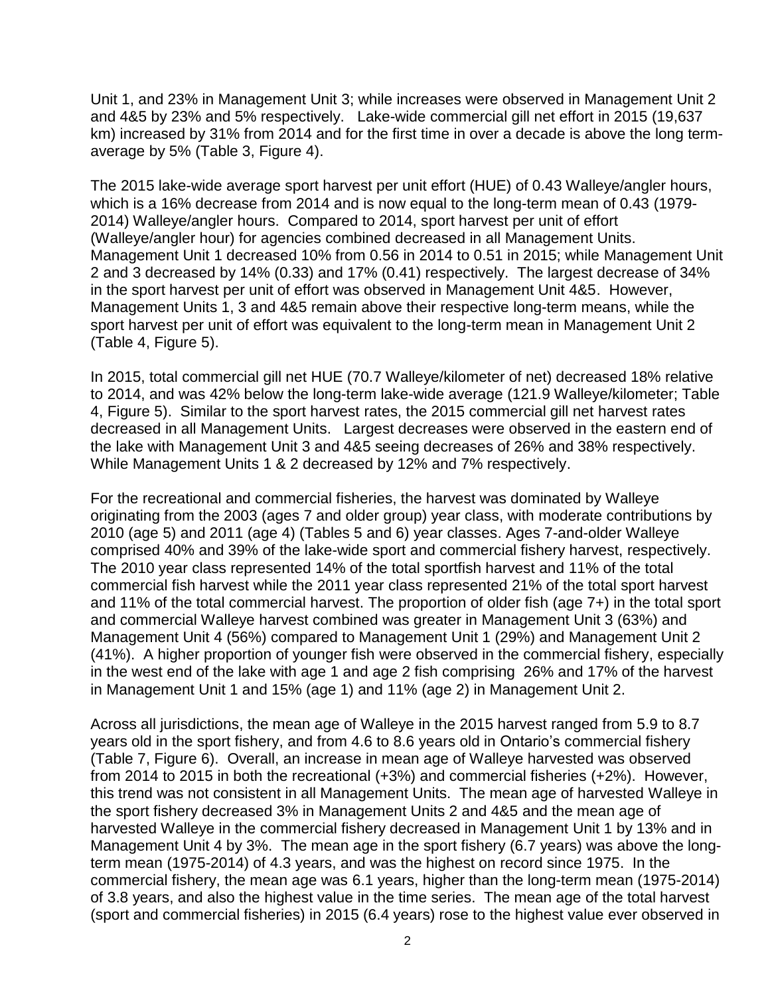Unit 1, and 23% in Management Unit 3; while increases were observed in Management Unit 2 and 4&5 by 23% and 5% respectively. Lake-wide commercial gill net effort in 2015 (19,637 km) increased by 31% from 2014 and for the first time in over a decade is above the long termaverage by 5% (Table 3, Figure 4).

The 2015 lake-wide average sport harvest per unit effort (HUE) of 0.43 Walleye/angler hours, which is a 16% decrease from 2014 and is now equal to the long-term mean of 0.43 (1979- 2014) Walleye/angler hours. Compared to 2014, sport harvest per unit of effort (Walleye/angler hour) for agencies combined decreased in all Management Units. Management Unit 1 decreased 10% from 0.56 in 2014 to 0.51 in 2015; while Management Unit 2 and 3 decreased by 14% (0.33) and 17% (0.41) respectively. The largest decrease of 34% in the sport harvest per unit of effort was observed in Management Unit 4&5. However, Management Units 1, 3 and 4&5 remain above their respective long-term means, while the sport harvest per unit of effort was equivalent to the long-term mean in Management Unit 2 (Table 4, Figure 5).

In 2015, total commercial gill net HUE (70.7 Walleye/kilometer of net) decreased 18% relative to 2014, and was 42% below the long-term lake-wide average (121.9 Walleye/kilometer; Table 4, Figure 5). Similar to the sport harvest rates, the 2015 commercial gill net harvest rates decreased in all Management Units. Largest decreases were observed in the eastern end of the lake with Management Unit 3 and 4&5 seeing decreases of 26% and 38% respectively. While Management Units 1 & 2 decreased by 12% and 7% respectively.

For the recreational and commercial fisheries, the harvest was dominated by Walleye originating from the 2003 (ages 7 and older group) year class, with moderate contributions by 2010 (age 5) and 2011 (age 4) (Tables 5 and 6) year classes. Ages 7-and-older Walleye comprised 40% and 39% of the lake-wide sport and commercial fishery harvest, respectively. The 2010 year class represented 14% of the total sportfish harvest and 11% of the total commercial fish harvest while the 2011 year class represented 21% of the total sport harvest and 11% of the total commercial harvest. The proportion of older fish (age 7+) in the total sport and commercial Walleye harvest combined was greater in Management Unit 3 (63%) and Management Unit 4 (56%) compared to Management Unit 1 (29%) and Management Unit 2 (41%). A higher proportion of younger fish were observed in the commercial fishery, especially in the west end of the lake with age 1 and age 2 fish comprising 26% and 17% of the harvest in Management Unit 1 and 15% (age 1) and 11% (age 2) in Management Unit 2.

Across all jurisdictions, the mean age of Walleye in the 2015 harvest ranged from 5.9 to 8.7 years old in the sport fishery, and from 4.6 to 8.6 years old in Ontario's commercial fishery (Table 7, Figure 6). Overall, an increase in mean age of Walleye harvested was observed from 2014 to 2015 in both the recreational (+3%) and commercial fisheries (+2%). However, this trend was not consistent in all Management Units. The mean age of harvested Walleye in the sport fishery decreased 3% in Management Units 2 and 4&5 and the mean age of harvested Walleye in the commercial fishery decreased in Management Unit 1 by 13% and in Management Unit 4 by 3%. The mean age in the sport fishery (6.7 years) was above the longterm mean (1975-2014) of 4.3 years, and was the highest on record since 1975. In the commercial fishery, the mean age was 6.1 years, higher than the long-term mean (1975-2014) of 3.8 years, and also the highest value in the time series. The mean age of the total harvest (sport and commercial fisheries) in 2015 (6.4 years) rose to the highest value ever observed in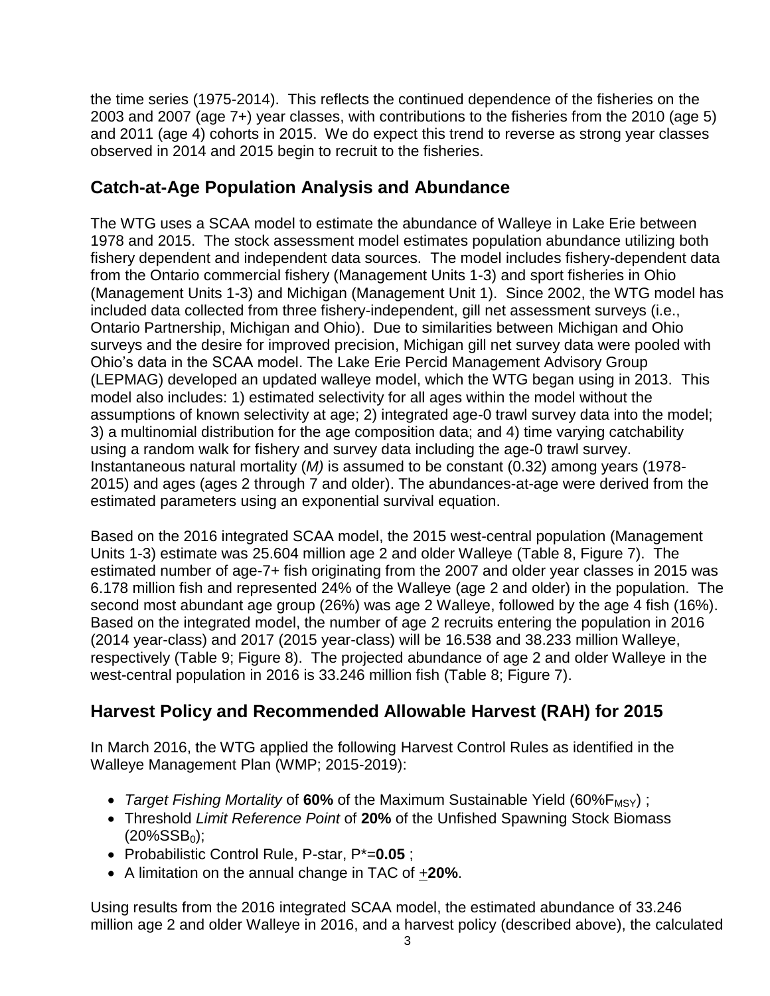the time series (1975-2014). This reflects the continued dependence of the fisheries on the 2003 and 2007 (age 7+) year classes, with contributions to the fisheries from the 2010 (age 5) and 2011 (age 4) cohorts in 2015. We do expect this trend to reverse as strong year classes observed in 2014 and 2015 begin to recruit to the fisheries.

## **Catch-at-Age Population Analysis and Abundance**

The WTG uses a SCAA model to estimate the abundance of Walleye in Lake Erie between 1978 and 2015. The stock assessment model estimates population abundance utilizing both fishery dependent and independent data sources. The model includes fishery-dependent data from the Ontario commercial fishery (Management Units 1-3) and sport fisheries in Ohio (Management Units 1-3) and Michigan (Management Unit 1). Since 2002, the WTG model has included data collected from three fishery-independent, gill net assessment surveys (i.e., Ontario Partnership, Michigan and Ohio). Due to similarities between Michigan and Ohio surveys and the desire for improved precision, Michigan gill net survey data were pooled with Ohio's data in the SCAA model. The Lake Erie Percid Management Advisory Group (LEPMAG) developed an updated walleye model, which the WTG began using in 2013. This model also includes: 1) estimated selectivity for all ages within the model without the assumptions of known selectivity at age; 2) integrated age-0 trawl survey data into the model; 3) a multinomial distribution for the age composition data; and 4) time varying catchability using a random walk for fishery and survey data including the age-0 trawl survey. Instantaneous natural mortality (*M)* is assumed to be constant (0.32) among years (1978- 2015) and ages (ages 2 through 7 and older). The abundances-at-age were derived from the estimated parameters using an exponential survival equation.

Based on the 2016 integrated SCAA model, the 2015 west-central population (Management Units 1-3) estimate was 25.604 million age 2 and older Walleye (Table 8, Figure 7). The estimated number of age-7+ fish originating from the 2007 and older year classes in 2015 was 6.178 million fish and represented 24% of the Walleye (age 2 and older) in the population. The second most abundant age group (26%) was age 2 Walleye, followed by the age 4 fish (16%). Based on the integrated model, the number of age 2 recruits entering the population in 2016 (2014 year-class) and 2017 (2015 year-class) will be 16.538 and 38.233 million Walleye, respectively (Table 9; Figure 8). The projected abundance of age 2 and older Walleye in the west-central population in 2016 is 33.246 million fish (Table 8; Figure 7).

## **Harvest Policy and Recommended Allowable Harvest (RAH) for 2015**

In March 2016, the WTG applied the following Harvest Control Rules as identified in the Walleye Management Plan (WMP; 2015-2019):

- *Target Fishing Mortality* of 60% of the Maximum Sustainable Yield (60%F<sub>MSY</sub>);
- Threshold *Limit Reference Point* of **20%** of the Unfished Spawning Stock Biomass  $(20\%SSB<sub>0</sub>)$ ;
- Probabilistic Control Rule, P-star, P\*=**0.05** ;
- A limitation on the annual change in TAC of +**20%**.

Using results from the 2016 integrated SCAA model, the estimated abundance of 33.246 million age 2 and older Walleye in 2016, and a harvest policy (described above), the calculated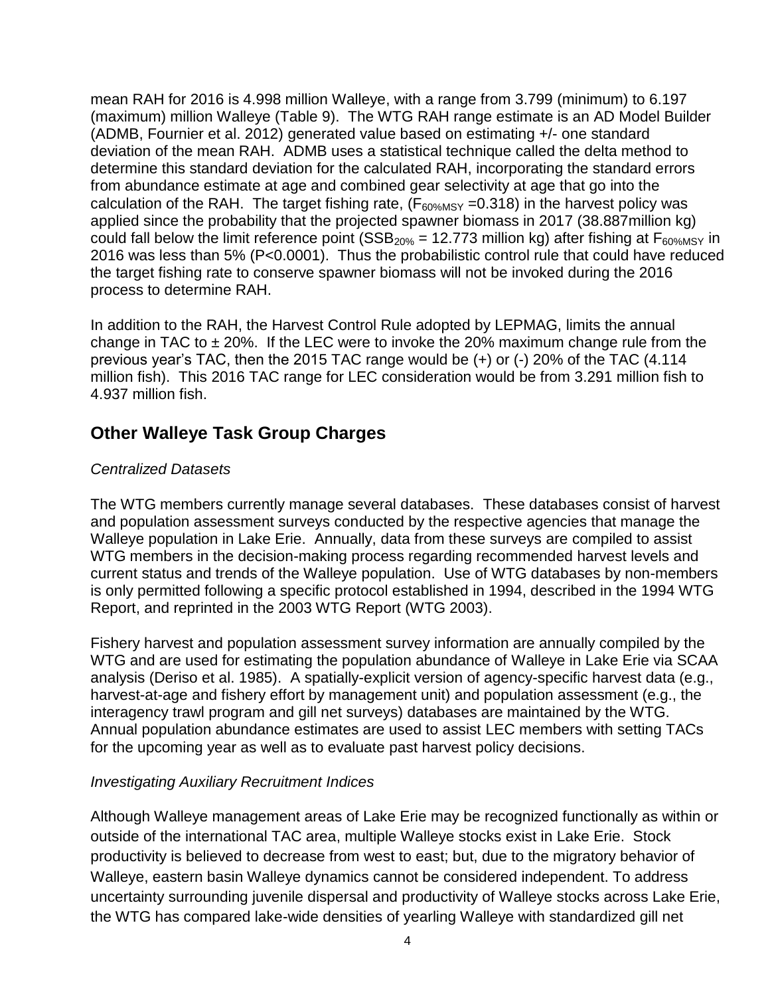mean RAH for 2016 is 4.998 million Walleye, with a range from 3.799 (minimum) to 6.197 (maximum) million Walleye (Table 9). The WTG RAH range estimate is an AD Model Builder (ADMB, Fournier et al. 2012) generated value based on estimating +/- one standard deviation of the mean RAH. ADMB uses a statistical technique called the delta method to determine this standard deviation for the calculated RAH, incorporating the standard errors from abundance estimate at age and combined gear selectivity at age that go into the calculation of the RAH. The target fishing rate,  $(F_{60\%MSY} = 0.318)$  in the harvest policy was applied since the probability that the projected spawner biomass in 2017 (38.887million kg) could fall below the limit reference point (SSB<sub>20%</sub> = 12.773 million kg) after fishing at  $F_{60\%MSY}$  in 2016 was less than 5% (P<0.0001). Thus the probabilistic control rule that could have reduced the target fishing rate to conserve spawner biomass will not be invoked during the 2016 process to determine RAH.

In addition to the RAH, the Harvest Control Rule adopted by LEPMAG, limits the annual change in TAC to  $\pm 20$ %. If the LEC were to invoke the 20% maximum change rule from the previous year's TAC, then the 2015 TAC range would be (+) or (-) 20% of the TAC (4.114 million fish). This 2016 TAC range for LEC consideration would be from 3.291 million fish to 4.937 million fish.

## **Other Walleye Task Group Charges**

#### *Centralized Datasets*

The WTG members currently manage several databases. These databases consist of harvest and population assessment surveys conducted by the respective agencies that manage the Walleye population in Lake Erie. Annually, data from these surveys are compiled to assist WTG members in the decision-making process regarding recommended harvest levels and current status and trends of the Walleye population. Use of WTG databases by non-members is only permitted following a specific protocol established in 1994, described in the 1994 WTG Report, and reprinted in the 2003 WTG Report (WTG 2003).

Fishery harvest and population assessment survey information are annually compiled by the WTG and are used for estimating the population abundance of Walleye in Lake Erie via SCAA analysis (Deriso et al. 1985). A spatially-explicit version of agency-specific harvest data (e.g., harvest-at-age and fishery effort by management unit) and population assessment (e.g., the interagency trawl program and gill net surveys) databases are maintained by the WTG. Annual population abundance estimates are used to assist LEC members with setting TACs for the upcoming year as well as to evaluate past harvest policy decisions.

#### *Investigating Auxiliary Recruitment Indices*

Although Walleye management areas of Lake Erie may be recognized functionally as within or outside of the international TAC area, multiple Walleye stocks exist in Lake Erie. Stock productivity is believed to decrease from west to east; but, due to the migratory behavior of Walleye, eastern basin Walleye dynamics cannot be considered independent. To address uncertainty surrounding juvenile dispersal and productivity of Walleye stocks across Lake Erie, the WTG has compared lake-wide densities of yearling Walleye with standardized gill net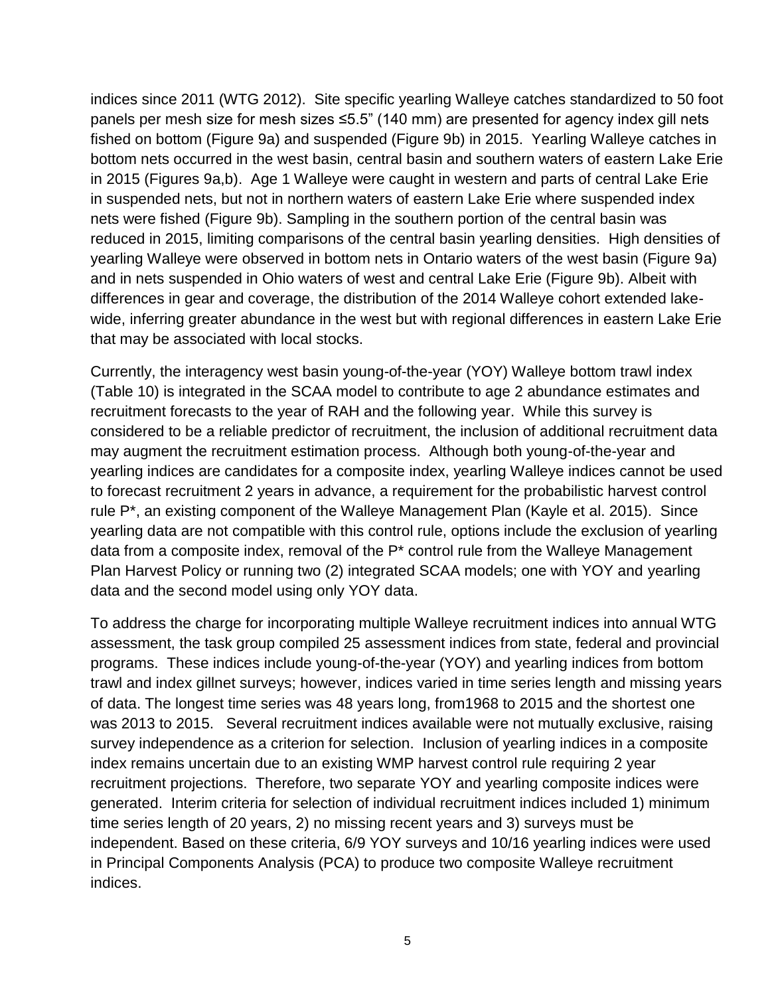indices since 2011 (WTG 2012). Site specific yearling Walleye catches standardized to 50 foot panels per mesh size for mesh sizes ≤5.5" (140 mm) are presented for agency index gill nets fished on bottom (Figure 9a) and suspended (Figure 9b) in 2015. Yearling Walleye catches in bottom nets occurred in the west basin, central basin and southern waters of eastern Lake Erie in 2015 (Figures 9a,b). Age 1 Walleye were caught in western and parts of central Lake Erie in suspended nets, but not in northern waters of eastern Lake Erie where suspended index nets were fished (Figure 9b). Sampling in the southern portion of the central basin was reduced in 2015, limiting comparisons of the central basin yearling densities. High densities of yearling Walleye were observed in bottom nets in Ontario waters of the west basin (Figure 9a) and in nets suspended in Ohio waters of west and central Lake Erie (Figure 9b). Albeit with differences in gear and coverage, the distribution of the 2014 Walleye cohort extended lakewide, inferring greater abundance in the west but with regional differences in eastern Lake Erie that may be associated with local stocks.

Currently, the interagency west basin young-of-the-year (YOY) Walleye bottom trawl index (Table 10) is integrated in the SCAA model to contribute to age 2 abundance estimates and recruitment forecasts to the year of RAH and the following year. While this survey is considered to be a reliable predictor of recruitment, the inclusion of additional recruitment data may augment the recruitment estimation process. Although both young-of-the-year and yearling indices are candidates for a composite index, yearling Walleye indices cannot be used to forecast recruitment 2 years in advance, a requirement for the probabilistic harvest control rule P\*, an existing component of the Walleye Management Plan (Kayle et al. 2015). Since yearling data are not compatible with this control rule, options include the exclusion of yearling data from a composite index, removal of the P\* control rule from the Walleye Management Plan Harvest Policy or running two (2) integrated SCAA models; one with YOY and yearling data and the second model using only YOY data.

To address the charge for incorporating multiple Walleye recruitment indices into annual WTG assessment, the task group compiled 25 assessment indices from state, federal and provincial programs. These indices include young-of-the-year (YOY) and yearling indices from bottom trawl and index gillnet surveys; however, indices varied in time series length and missing years of data. The longest time series was 48 years long, from1968 to 2015 and the shortest one was 2013 to 2015. Several recruitment indices available were not mutually exclusive, raising survey independence as a criterion for selection. Inclusion of yearling indices in a composite index remains uncertain due to an existing WMP harvest control rule requiring 2 year recruitment projections. Therefore, two separate YOY and yearling composite indices were generated. Interim criteria for selection of individual recruitment indices included 1) minimum time series length of 20 years, 2) no missing recent years and 3) surveys must be independent. Based on these criteria, 6/9 YOY surveys and 10/16 yearling indices were used in Principal Components Analysis (PCA) to produce two composite Walleye recruitment indices.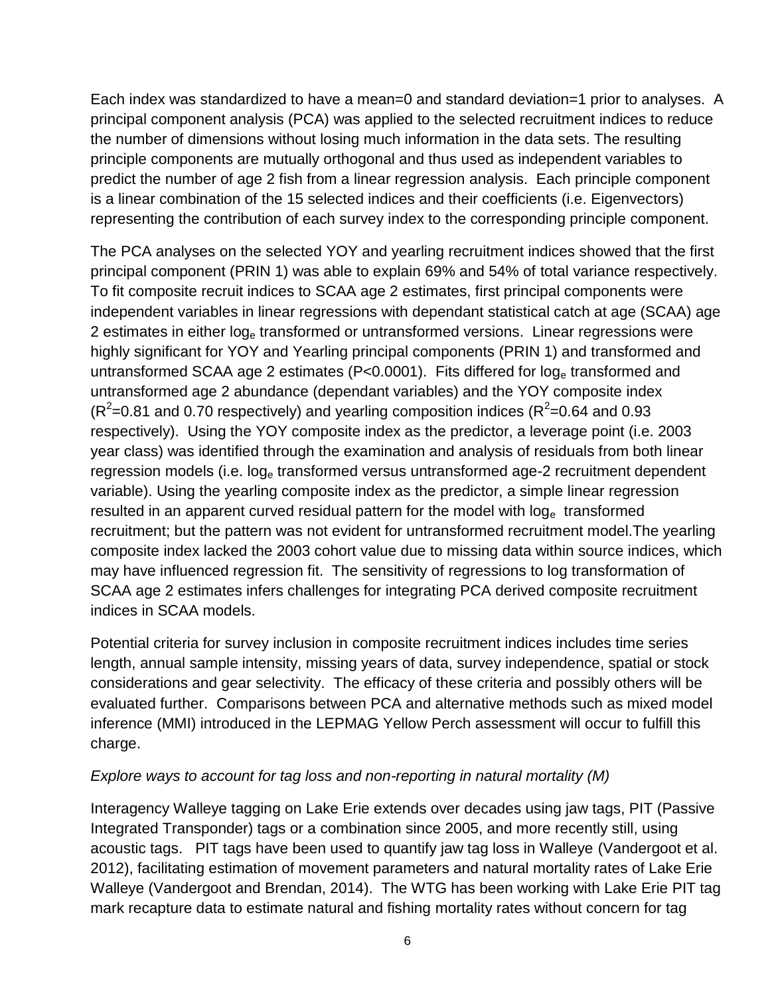Each index was standardized to have a mean=0 and standard deviation=1 prior to analyses. A principal component analysis (PCA) was applied to the selected recruitment indices to reduce the number of dimensions without losing much information in the data sets. The resulting principle components are mutually orthogonal and thus used as independent variables to predict the number of age 2 fish from a linear regression analysis. Each principle component is a linear combination of the 15 selected indices and their coefficients (i.e. Eigenvectors) representing the contribution of each survey index to the corresponding principle component.

The PCA analyses on the selected YOY and yearling recruitment indices showed that the first principal component (PRIN 1) was able to explain 69% and 54% of total variance respectively. To fit composite recruit indices to SCAA age 2 estimates, first principal components were independent variables in linear regressions with dependant statistical catch at age (SCAA) age 2 estimates in either  $log<sub>e</sub>$  transformed or untransformed versions. Linear regressions were highly significant for YOY and Yearling principal components (PRIN 1) and transformed and untransformed SCAA age 2 estimates (P<0.0001). Fits differed for  $log<sub>e</sub>$  transformed and untransformed age 2 abundance (dependant variables) and the YOY composite index  $(R^2=0.81$  and 0.70 respectively) and yearling composition indices  $(R^2=0.64$  and 0.93 respectively). Using the YOY composite index as the predictor, a leverage point (i.e. 2003 year class) was identified through the examination and analysis of residuals from both linear regression models (i.e. log<sub>e</sub> transformed versus untransformed age-2 recruitment dependent variable). Using the yearling composite index as the predictor, a simple linear regression resulted in an apparent curved residual pattern for the model with  $log<sub>e</sub>$  transformed recruitment; but the pattern was not evident for untransformed recruitment model.The yearling composite index lacked the 2003 cohort value due to missing data within source indices, which may have influenced regression fit. The sensitivity of regressions to log transformation of SCAA age 2 estimates infers challenges for integrating PCA derived composite recruitment indices in SCAA models.

Potential criteria for survey inclusion in composite recruitment indices includes time series length, annual sample intensity, missing years of data, survey independence, spatial or stock considerations and gear selectivity. The efficacy of these criteria and possibly others will be evaluated further. Comparisons between PCA and alternative methods such as mixed model inference (MMI) introduced in the LEPMAG Yellow Perch assessment will occur to fulfill this charge.

#### *Explore ways to account for tag loss and non-reporting in natural mortality (M)*

Interagency Walleye tagging on Lake Erie extends over decades using jaw tags, PIT (Passive Integrated Transponder) tags or a combination since 2005, and more recently still, using acoustic tags. PIT tags have been used to quantify jaw tag loss in Walleye (Vandergoot et al. 2012), facilitating estimation of movement parameters and natural mortality rates of Lake Erie Walleye (Vandergoot and Brendan, 2014). The WTG has been working with Lake Erie PIT tag mark recapture data to estimate natural and fishing mortality rates without concern for tag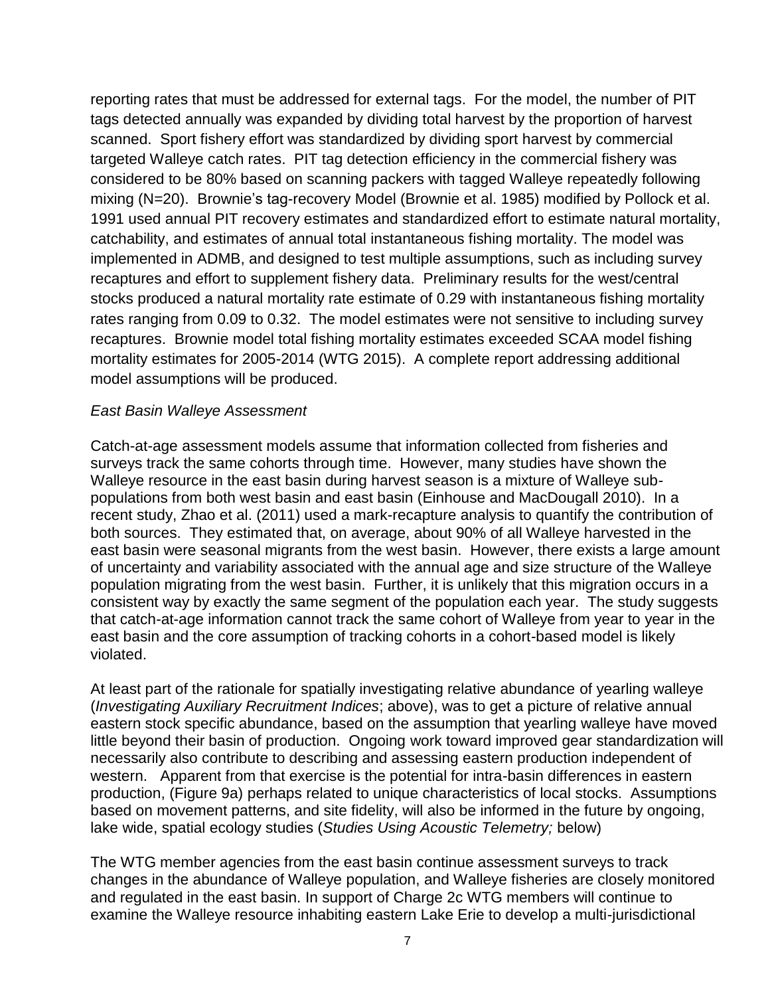reporting rates that must be addressed for external tags. For the model, the number of PIT tags detected annually was expanded by dividing total harvest by the proportion of harvest scanned. Sport fishery effort was standardized by dividing sport harvest by commercial targeted Walleye catch rates. PIT tag detection efficiency in the commercial fishery was considered to be 80% based on scanning packers with tagged Walleye repeatedly following mixing (N=20). Brownie's tag-recovery Model (Brownie et al. 1985) modified by Pollock et al. 1991 used annual PIT recovery estimates and standardized effort to estimate natural mortality, catchability, and estimates of annual total instantaneous fishing mortality. The model was implemented in ADMB, and designed to test multiple assumptions, such as including survey recaptures and effort to supplement fishery data. Preliminary results for the west/central stocks produced a natural mortality rate estimate of 0.29 with instantaneous fishing mortality rates ranging from 0.09 to 0.32. The model estimates were not sensitive to including survey recaptures. Brownie model total fishing mortality estimates exceeded SCAA model fishing mortality estimates for 2005-2014 (WTG 2015). A complete report addressing additional model assumptions will be produced.

#### *East Basin Walleye Assessment*

Catch-at-age assessment models assume that information collected from fisheries and surveys track the same cohorts through time. However, many studies have shown the Walleye resource in the east basin during harvest season is a mixture of Walleye subpopulations from both west basin and east basin (Einhouse and MacDougall 2010). In a recent study, Zhao et al. (2011) used a mark-recapture analysis to quantify the contribution of both sources. They estimated that, on average, about 90% of all Walleye harvested in the east basin were seasonal migrants from the west basin. However, there exists a large amount of uncertainty and variability associated with the annual age and size structure of the Walleye population migrating from the west basin. Further, it is unlikely that this migration occurs in a consistent way by exactly the same segment of the population each year. The study suggests that catch-at-age information cannot track the same cohort of Walleye from year to year in the east basin and the core assumption of tracking cohorts in a cohort-based model is likely violated.

At least part of the rationale for spatially investigating relative abundance of yearling walleye (*Investigating Auxiliary Recruitment Indices*; above), was to get a picture of relative annual eastern stock specific abundance, based on the assumption that yearling walleye have moved little beyond their basin of production. Ongoing work toward improved gear standardization will necessarily also contribute to describing and assessing eastern production independent of western. Apparent from that exercise is the potential for intra-basin differences in eastern production, (Figure 9a) perhaps related to unique characteristics of local stocks. Assumptions based on movement patterns, and site fidelity, will also be informed in the future by ongoing, lake wide, spatial ecology studies (*Studies Using Acoustic Telemetry;* below)

The WTG member agencies from the east basin continue assessment surveys to track changes in the abundance of Walleye population, and Walleye fisheries are closely monitored and regulated in the east basin. In support of Charge 2c WTG members will continue to examine the Walleye resource inhabiting eastern Lake Erie to develop a multi-jurisdictional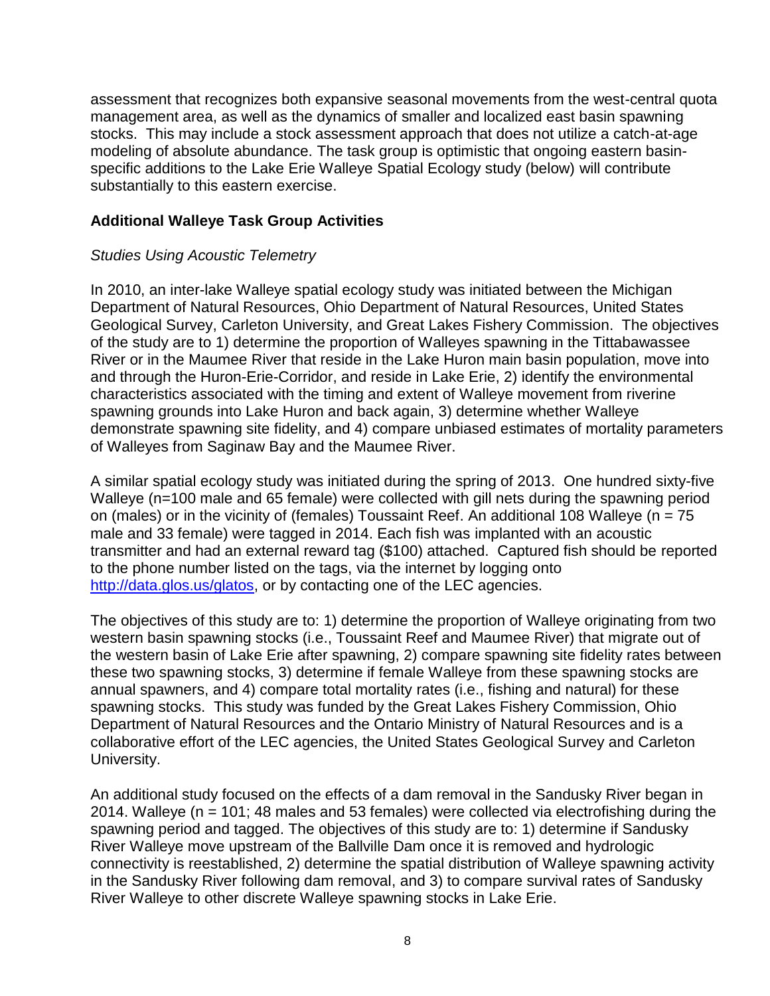assessment that recognizes both expansive seasonal movements from the west-central quota management area, as well as the dynamics of smaller and localized east basin spawning stocks. This may include a stock assessment approach that does not utilize a catch-at-age modeling of absolute abundance. The task group is optimistic that ongoing eastern basinspecific additions to the Lake Erie Walleye Spatial Ecology study (below) will contribute substantially to this eastern exercise.

#### **Additional Walleye Task Group Activities**

#### *Studies Using Acoustic Telemetry*

In 2010, an inter-lake Walleye spatial ecology study was initiated between the Michigan Department of Natural Resources, Ohio Department of Natural Resources, United States Geological Survey, Carleton University, and Great Lakes Fishery Commission. The objectives of the study are to 1) determine the proportion of Walleyes spawning in the Tittabawassee River or in the Maumee River that reside in the Lake Huron main basin population, move into and through the Huron-Erie-Corridor, and reside in Lake Erie, 2) identify the environmental characteristics associated with the timing and extent of Walleye movement from riverine spawning grounds into Lake Huron and back again, 3) determine whether Walleye demonstrate spawning site fidelity, and 4) compare unbiased estimates of mortality parameters of Walleyes from Saginaw Bay and the Maumee River.

A similar spatial ecology study was initiated during the spring of 2013. One hundred sixty-five Walleye (n=100 male and 65 female) were collected with gill nets during the spawning period on (males) or in the vicinity of (females) Toussaint Reef. An additional 108 Walleye ( $n = 75$ male and 33 female) were tagged in 2014. Each fish was implanted with an acoustic transmitter and had an external reward tag (\$100) attached. Captured fish should be reported to the phone number listed on the tags, via the internet by logging onto [http://data.glos.us/glatos,](http://data.glos.us/glatos) or by contacting one of the LEC agencies.

The objectives of this study are to: 1) determine the proportion of Walleye originating from two western basin spawning stocks (i.e., Toussaint Reef and Maumee River) that migrate out of the western basin of Lake Erie after spawning, 2) compare spawning site fidelity rates between these two spawning stocks, 3) determine if female Walleye from these spawning stocks are annual spawners, and 4) compare total mortality rates (i.e., fishing and natural) for these spawning stocks. This study was funded by the Great Lakes Fishery Commission, Ohio Department of Natural Resources and the Ontario Ministry of Natural Resources and is a collaborative effort of the LEC agencies, the United States Geological Survey and Carleton University.

An additional study focused on the effects of a dam removal in the Sandusky River began in 2014. Walleye (n = 101; 48 males and 53 females) were collected via electrofishing during the spawning period and tagged. The objectives of this study are to: 1) determine if Sandusky River Walleye move upstream of the Ballville Dam once it is removed and hydrologic connectivity is reestablished, 2) determine the spatial distribution of Walleye spawning activity in the Sandusky River following dam removal, and 3) to compare survival rates of Sandusky River Walleye to other discrete Walleye spawning stocks in Lake Erie.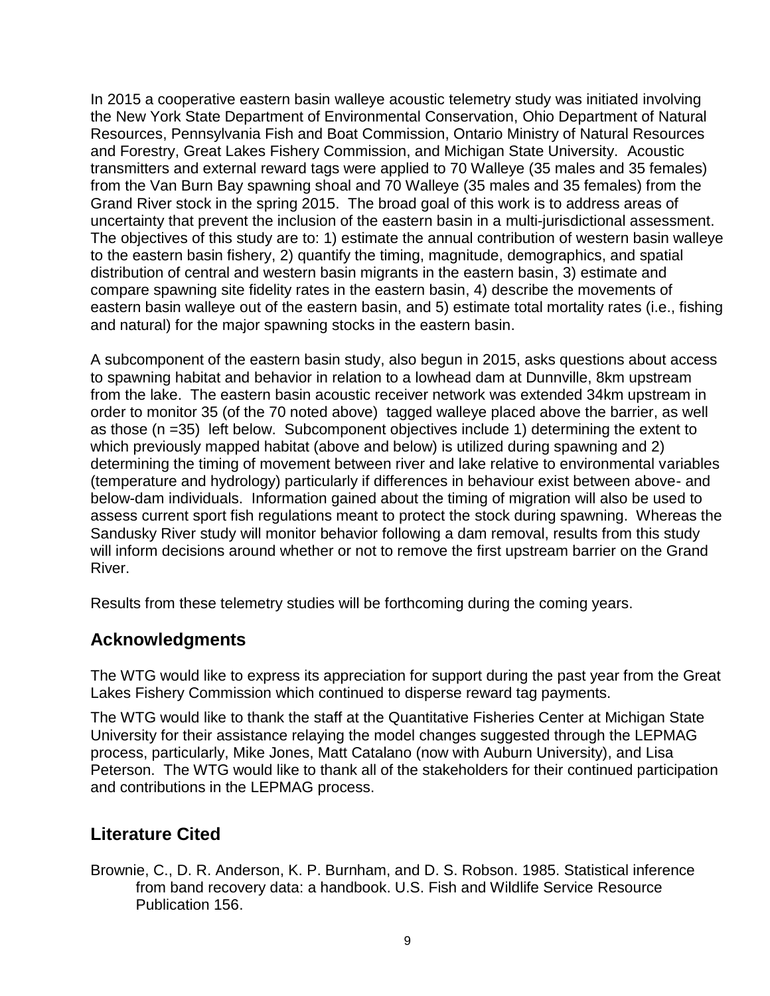In 2015 a cooperative eastern basin walleye acoustic telemetry study was initiated involving the New York State Department of Environmental Conservation, Ohio Department of Natural Resources, Pennsylvania Fish and Boat Commission, Ontario Ministry of Natural Resources and Forestry, Great Lakes Fishery Commission, and Michigan State University. Acoustic transmitters and external reward tags were applied to 70 Walleye (35 males and 35 females) from the Van Burn Bay spawning shoal and 70 Walleye (35 males and 35 females) from the Grand River stock in the spring 2015. The broad goal of this work is to address areas of uncertainty that prevent the inclusion of the eastern basin in a multi-jurisdictional assessment. The objectives of this study are to: 1) estimate the annual contribution of western basin walleye to the eastern basin fishery, 2) quantify the timing, magnitude, demographics, and spatial distribution of central and western basin migrants in the eastern basin, 3) estimate and compare spawning site fidelity rates in the eastern basin, 4) describe the movements of eastern basin walleye out of the eastern basin, and 5) estimate total mortality rates (i.e., fishing and natural) for the major spawning stocks in the eastern basin.

A subcomponent of the eastern basin study, also begun in 2015, asks questions about access to spawning habitat and behavior in relation to a lowhead dam at Dunnville, 8km upstream from the lake. The eastern basin acoustic receiver network was extended 34km upstream in order to monitor 35 (of the 70 noted above) tagged walleye placed above the barrier, as well as those (n =35) left below. Subcomponent objectives include 1) determining the extent to which previously mapped habitat (above and below) is utilized during spawning and 2) determining the timing of movement between river and lake relative to environmental variables (temperature and hydrology) particularly if differences in behaviour exist between above- and below-dam individuals. Information gained about the timing of migration will also be used to assess current sport fish regulations meant to protect the stock during spawning. Whereas the Sandusky River study will monitor behavior following a dam removal, results from this study will inform decisions around whether or not to remove the first upstream barrier on the Grand River.

Results from these telemetry studies will be forthcoming during the coming years.

### **Acknowledgments**

The WTG would like to express its appreciation for support during the past year from the Great Lakes Fishery Commission which continued to disperse reward tag payments.

The WTG would like to thank the staff at the Quantitative Fisheries Center at Michigan State University for their assistance relaying the model changes suggested through the LEPMAG process, particularly, Mike Jones, Matt Catalano (now with Auburn University), and Lisa Peterson. The WTG would like to thank all of the stakeholders for their continued participation and contributions in the LEPMAG process.

### **Literature Cited**

Brownie, C., D. R. Anderson, K. P. Burnham, and D. S. Robson. 1985. Statistical inference from band recovery data: a handbook. U.S. Fish and Wildlife Service Resource Publication 156.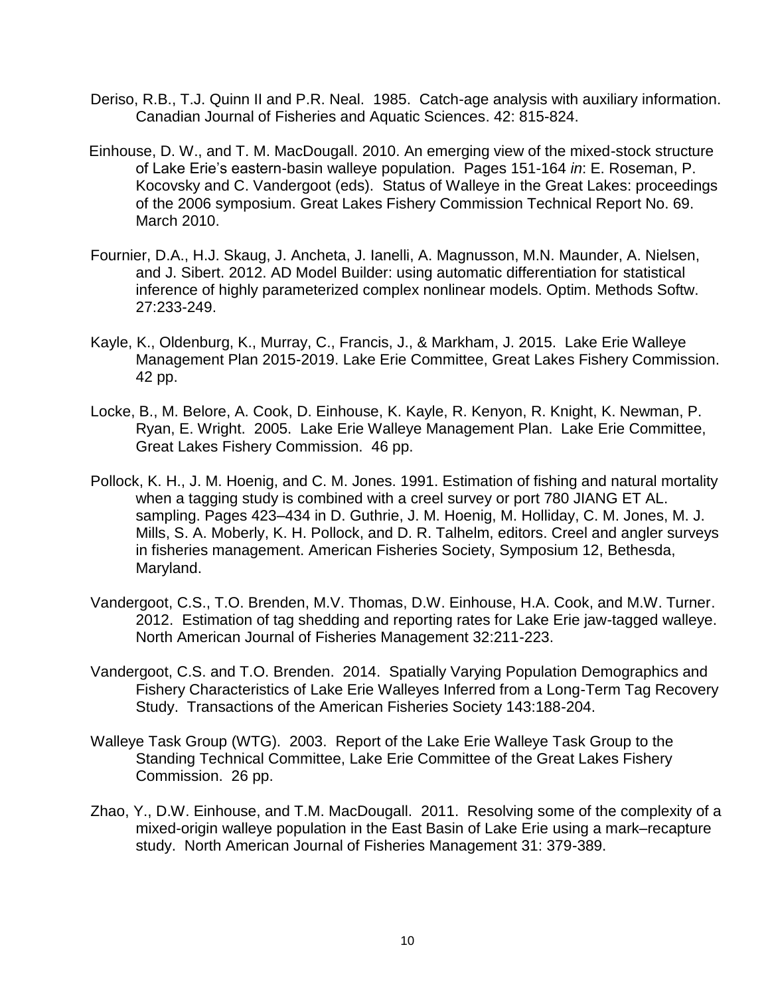- Deriso, R.B., T.J. Quinn II and P.R. Neal. 1985. Catch-age analysis with auxiliary information. Canadian Journal of Fisheries and Aquatic Sciences. 42: 815-824.
- Einhouse, D. W., and T. M. MacDougall. 2010. An emerging view of the mixed-stock structure of Lake Erie's eastern-basin walleye population. Pages 151-164 *in*: E. Roseman, P. Kocovsky and C. Vandergoot (eds). Status of Walleye in the Great Lakes: proceedings of the 2006 symposium. Great Lakes Fishery Commission Technical Report No. 69. March 2010.
- Fournier, D.A., H.J. Skaug, J. Ancheta, J. Ianelli, A. Magnusson, M.N. Maunder, A. Nielsen, and J. Sibert. 2012. AD Model Builder: using automatic differentiation for statistical inference of highly parameterized complex nonlinear models. Optim. Methods Softw. 27:233-249.
- Kayle, K., Oldenburg, K., Murray, C., Francis, J., & Markham, J. 2015. Lake Erie Walleye Management Plan 2015-2019. Lake Erie Committee, Great Lakes Fishery Commission. 42 pp.
- Locke, B., M. Belore, A. Cook, D. Einhouse, K. Kayle, R. Kenyon, R. Knight, K. Newman, P. Ryan, E. Wright. 2005. Lake Erie Walleye Management Plan. Lake Erie Committee, Great Lakes Fishery Commission. 46 pp.
- Pollock, K. H., J. M. Hoenig, and C. M. Jones. 1991. Estimation of fishing and natural mortality when a tagging study is combined with a creel survey or port 780 JIANG ET AL. sampling. Pages 423–434 in D. Guthrie, J. M. Hoenig, M. Holliday, C. M. Jones, M. J. Mills, S. A. Moberly, K. H. Pollock, and D. R. Talhelm, editors. Creel and angler surveys in fisheries management. American Fisheries Society, Symposium 12, Bethesda, Maryland.
- Vandergoot, C.S., T.O. Brenden, M.V. Thomas, D.W. Einhouse, H.A. Cook, and M.W. Turner. 2012. Estimation of tag shedding and reporting rates for Lake Erie jaw-tagged walleye. North American Journal of Fisheries Management 32:211-223.
- Vandergoot, C.S. and T.O. Brenden. 2014. Spatially Varying Population Demographics and Fishery Characteristics of Lake Erie Walleyes Inferred from a Long-Term Tag Recovery Study. Transactions of the American Fisheries Society 143:188-204.
- Walleye Task Group (WTG). 2003. Report of the Lake Erie Walleye Task Group to the Standing Technical Committee, Lake Erie Committee of the Great Lakes Fishery Commission. 26 pp.
- Zhao, Y., D.W. Einhouse, and T.M. MacDougall. 2011. Resolving some of the complexity of a mixed-origin walleye population in the East Basin of Lake Erie using a mark–recapture study. North American Journal of Fisheries Management 31: 379-389.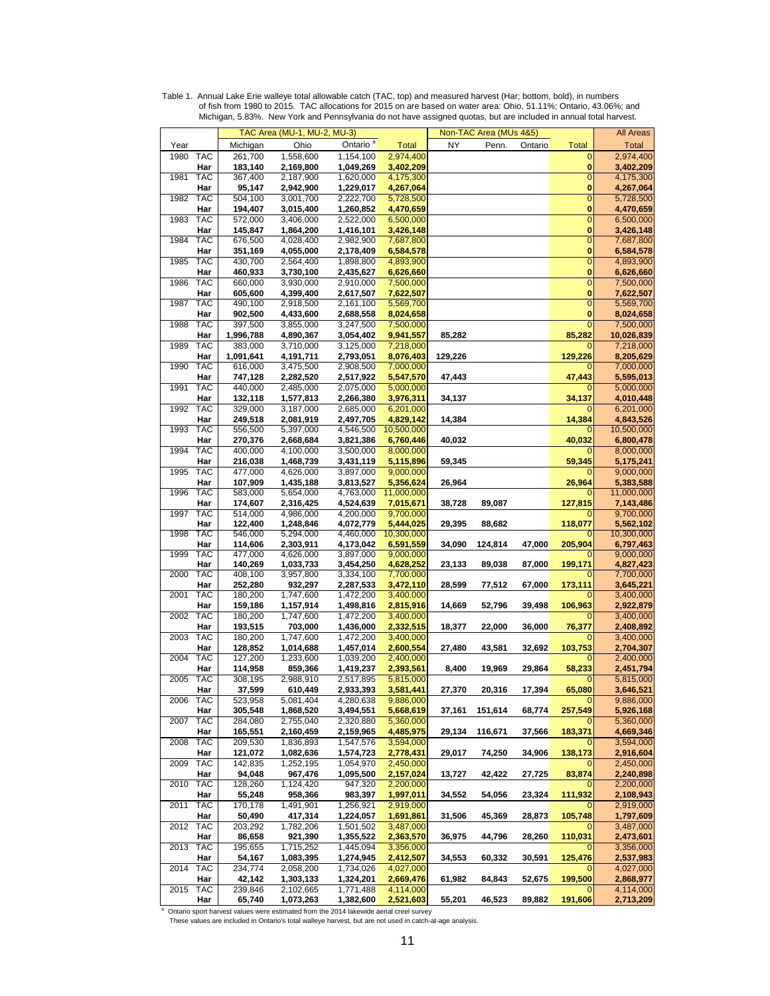|          |            |           | TAC Area (MU-1, MU-2, MU-3) |                      |              | Non-TAC Area (MUs 4&5) |         | <b>All Areas</b> |                |              |
|----------|------------|-----------|-----------------------------|----------------------|--------------|------------------------|---------|------------------|----------------|--------------|
| Year     |            | Michigan  | Ohio                        | Ontario <sup>a</sup> |              | <b>NY</b>              | Penn.   |                  | <b>Total</b>   | <b>Total</b> |
|          |            |           |                             |                      | <b>Total</b> |                        |         | Ontario          |                |              |
| 1980     | <b>TAC</b> | 261,700   | 1,558,600                   | 1,154,100            | 2,974,400    |                        |         |                  | 0              | 2,974,400    |
|          | Har        | 183,140   | 2,169,800                   | 1,049,269            | 3,402,209    |                        |         |                  | 0              | 3,402,209    |
| 1981     | <b>TAC</b> | 367,400   | 2,187,900                   | 1,620,000            | 4,175,300    |                        |         |                  | $\mathbf 0$    | 4,175,300    |
|          | Har        | 95,147    | 2,942,900                   | 1,229,017            | 4,267,064    |                        |         |                  | $\bf{0}$       | 4,267,064    |
| 1982     | <b>TAC</b> | 504,100   | 3,001,700                   | 2,222,700            | 5,728,500    |                        |         |                  | $\overline{0}$ | 5,728,500    |
|          | Har        | 194,407   | 3,015,400                   | 1,260,852            | 4,470,659    |                        |         |                  | 0              | 4,470,659    |
| 1983     | <b>TAC</b> | 572,000   | 3,406,000                   | 2,522,000            | 6,500,000    |                        |         |                  | $\mathbf 0$    | 6,500,000    |
|          | Har        | 145,847   | 1,864,200                   | 1,416,101            | 3,426,148    |                        |         |                  | 0              | 3,426,148    |
| 1984     | <b>TAC</b> | 676,500   | 4,028,400                   | 2,982,900            | 7,687,800    |                        |         |                  | $\mathbf 0$    | 7,687,800    |
|          | Har        | 351,169   | 4,055,000                   | 2,178,409            | 6,584,578    |                        |         |                  | 0              | 6,584,578    |
| 1985     | <b>TAC</b> | 430,700   | 2,564,400                   | 1,898,800            | 4,893,900    |                        |         |                  | $\mathbf 0$    | 4,893,900    |
|          | Har        | 460,933   | 3,730,100                   | 2,435,627            | 6,626,660    |                        |         |                  | $\bf{0}$       | 6,626,660    |
| 1986     | <b>TAC</b> | 660,000   | 3,930,000                   | 2,910,000            | 7,500,000    |                        |         |                  | $\mathbf 0$    | 7,500,000    |
|          | Har        | 605,600   | 4,399,400                   | 2,617,507            | 7,622,507    |                        |         |                  | 0              | 7,622,507    |
| 1987     | TAC        | 490,100   | 2,918,500                   | 2,161,100            | 5,569,700    |                        |         |                  | $\overline{0}$ | 5,569,700    |
|          | Har        | 902,500   | 4,433,600                   | 2,688,558            | 8,024,658    |                        |         |                  | 0              | 8,024,658    |
| 1988     | <b>TAC</b> | 397,500   | 3,855,000                   | 3,247,500            | 7,500,000    |                        |         |                  | $\overline{0}$ | 7,500,000    |
|          | Har        | 1,996,788 | 4,890,367                   | 3,054,402            | 9,941,557    | 85,282                 |         |                  | 85,282         | 10,026,839   |
| 1989     | <b>TAC</b> | 383,000   | 3,710,000                   | 3,125,000            | 7,218,000    |                        |         |                  | $\Omega$       | 7,218,000    |
|          |            |           |                             |                      |              | 129,226                |         |                  |                |              |
|          | Har        | 1,091,641 | 4,191,711                   | 2,793,051            | 8,076,403    |                        |         |                  | 129,226        | 8,205,629    |
| 1990     | <b>TAC</b> | 616,000   | 3,475,500                   | 2,908,500            | 7,000,000    |                        |         |                  |                | 7,000,000    |
|          | Har        | 747,128   | 2,282,520                   | 2,517,922            | 5,547,570    | 47,443                 |         |                  | 47,443         | 5,595,013    |
| 1991     | <b>TAC</b> | 440,000   | 2,485,000                   | 2,075,000            | 5,000,000    |                        |         |                  |                | 5,000,000    |
|          | Har        | 132,118   | 1,577,813                   | 2,266,380            | 3,976,311    | 34,137                 |         |                  | 34,137         | 4,010,448    |
| 1992     | <b>TAC</b> | 329,000   | 3,187,000                   | 2,685,000            | 6,201,000    |                        |         |                  | 0              | 6,201,000    |
|          | Har        | 249,518   | 2,081,919                   | 2,497,705            | 4,829,142    | 14,384                 |         |                  | 14,384         | 4,843,526    |
| 1993     | <b>TAC</b> | 556,500   | 5,397,000                   | 4,546,500            | 10,500,000   |                        |         |                  |                | 10,500,000   |
|          | Har        | 270,376   | 2,668,684                   | 3,821,386            | 6,760,446    | 40,032                 |         |                  | 40,032         | 6,800,478    |
| 1994     | <b>TAC</b> | 400,000   | 4,100,000                   | 3,500,000            | 8,000,000    |                        |         |                  |                | 8,000,000    |
|          | Har        | 216,038   | 1,468,739                   | 3,431,119            | 5,115,896    | 59,345                 |         |                  | 59,345         | 5,175,241    |
| 1995     | <b>TAC</b> | 477,000   | 4,626,000                   | 3,897,000            | 9,000,000    |                        |         |                  |                | 9,000,000    |
|          | Har        | 107,909   | 1,435,188                   | 3,813,527            | 5,356,624    | 26,964                 |         |                  | 26,964         | 5,383,588    |
| 1996     | <b>TAC</b> | 583,000   | 5,654,000                   | 4,763,000            | 11,000,000   |                        |         |                  | $\Omega$       | 11,000,000   |
|          | Har        | 174,607   | 2,316,425                   | 4,524,639            | 7,015,671    | 38,728                 | 89,087  |                  | 127,815        | 7,143,486    |
| 1997     | <b>TAC</b> | 514,000   | 4,986,000                   | 4,200,000            | 9,700,000    |                        |         |                  | 0              | 9,700,000    |
|          | Har        | 122,400   | 1,248,846                   | 4,072,779            | 5,444,025    | 29,395                 | 88,682  |                  | 118,077        | 5,562,102    |
| 1998     | <b>TAC</b> | 546,000   | 5,294,000                   | 4,460,000            | 10,300,000   |                        |         |                  |                | 10,300,000   |
|          | Har        | 114,606   | 2,303,911                   | 4,173,042            | 6,591,559    | 34,090                 | 124,814 | 47,000           | 205,904        | 6,797,463    |
| 1999     | <b>TAC</b> | 477,000   | 4,626,000                   | 3,897,000            | 9,000,000    |                        |         |                  |                | 9,000,000    |
|          | Har        | 140,269   | 1,033,733                   | 3,454,250            | 4,628,252    | 23,133                 | 89,038  | 87,000           | 199,171        | 4,827,423    |
| 2000     | <b>TAC</b> | 408,100   | 3,957,800                   | 3,334,100            | 7,700,000    |                        |         |                  | O              | 7,700,000    |
|          | Har        | 252,280   | 932,297                     | 2,287,533            | 3,472,110    | 28,599                 | 77,512  | 67,000           | 173,111        | 3,645,221    |
| 2001     | <b>TAC</b> | 180,200   | 1,747,600                   | 1,472,200            | 3,400,000    |                        |         |                  |                | 3,400,000    |
|          | Har        | 159,186   | 1,157,914                   | 1,498,816            | 2,815,916    | 14,669                 | 52,796  | 39,498           | 106,963        | 2,922,879    |
| 2002     | <b>TAC</b> | 180,200   | 1,747,600                   | 1,472,200            | 3,400,000    |                        |         |                  | O              | 3,400,000    |
|          | Har        | 193,515   | 703,000                     | 1,436,000            | 2,332,515    | 18,377                 | 22,000  | 36,000           | 76,377         | 2,408,892    |
|          |            |           |                             |                      |              |                        |         |                  |                |              |
| 2003     | <b>TAC</b> | 180,200   | 1,747,600                   | 1,472,200            | 3,400,000    |                        |         |                  |                | 3,400,000    |
|          | Har        | 128,852   | 1,014,688                   | 1,457,014            | 2,600,554    | 27,480                 | 43,581  | 32,692           | 103,753        | 2,704,307    |
| 2004     | TAC        | 127,200   | 1,233,600                   | 1,039,200            | 2,400,000    |                        |         |                  |                | 2,400,000    |
|          | Har        | 114,958   | 859,366                     | 1,419,237            | 2,393,561    | 8,400                  | 19,969  | 29,864           | 58,233         | 2,451,794    |
| 2005     | <b>TAC</b> | 308,195   | 2,988,910                   | 2,517,895            | 5,815,000    |                        |         |                  | 0              | 5,815,000    |
|          | Har        | 37,599    | 610,449                     | 2,933,393            | 3,581,441    | 27,370                 | 20,316  | 17,394           | 65,080         | 3,646,521    |
| 2006 TAC |            | 523,958   | 5,081,404                   | 4,280,638            | 9,886,000    |                        |         |                  | $\mathbf{0}$   | 9,886,000    |
|          | Har        | 305,548   | 1,868,520                   | 3,494,551            | 5,668,619    | 37,161                 | 151,614 | 68,774           | 257,549        | 5,926,168    |
| 2007     | <b>TAC</b> | 284,080   | 2,755,040                   | 2,320,880            | 5,360,000    |                        |         |                  |                | 5,360,000    |
|          | Har        | 165,551   | 2,160,459                   | 2,159,965            | 4,485,975    | 29,134                 | 116,671 | 37,566           | 183,371        | 4,669,346    |
| 2008     | <b>TAC</b> | 209,530   | 1,836,893                   | 1,547,576            | 3,594,000    |                        |         |                  |                | 3,594,000    |
|          | Har        | 121,072   | 1,082,636                   | 1,574,723            | 2,778,431    | 29,017                 | 74,250  | 34,906           | 138,173        | 2,916,604    |
| 2009     | <b>TAC</b> | 142,835   | 1,252,195                   | 1,054,970            | 2,450,000    |                        |         |                  | 0              | 2,450,000    |
|          | Har        | 94,048    | 967,476                     | 1,095,500            | 2,157,024    | 13,727                 | 42,422  | 27,725           | 83,874         | 2,240,898    |
| 2010     | <b>TAC</b> | 128,260   | 1,124,420                   | 947,320              | 2,200,000    |                        |         |                  |                | 2,200,000    |
|          | Har        | 55,248    | 958,366                     | 983,397              | 1,997,011    | 34,552                 | 54,056  | 23,324           | 111,932        | 2,108,943    |
| 2011     | <b>TAC</b> | 170,178   | 1,491,901                   | 1,256,921            | 2,919,000    |                        |         |                  |                | 2,919,000    |
|          | Har        | 50,490    | 417,314                     | 1,224,057            | 1,691,861    | 31,506                 | 45,369  | 28,873           | 105,748        | 1,797,609    |
| 2012     | <b>TAC</b> | 203,292   | 1,782,206                   | 1,501,502            | 3,487,000    |                        |         |                  |                | 3,487,000    |
|          | Har        | 86,658    | 921,390                     | 1,355,522            | 2,363,570    | 36,975                 | 44,796  | 28,260           | 110,031        | 2,473,601    |
| 2013     | <b>TAC</b> | 195,655   | 1,715,252                   | 1,445,094            | 3,356,000    |                        |         |                  | 0              | 3,356,000    |
|          | Har        | 54,167    | 1,083,395                   | 1,274,945            | 2,412,507    | 34,553                 | 60,332  | 30,591           | 125,476        | 2,537,983    |
| 2014     | <b>TAC</b> | 234,774   | 2,058,200                   | 1,734,026            | 4,027,000    |                        |         |                  | 0              | 4,027,000    |
|          | Har        | 42,142    | 1,303,133                   | 1,324,201            | 2,669,476    | 61,982                 | 84,843  | 52,675           | 199,500        | 2,868,977    |
| 2015     | <b>TAC</b> | 239,846   | 2,102,665                   | 1,771,488            | 4,114,000    |                        |         |                  |                | 4,114,000    |
|          | Har        | 65,740    | 1,073,263                   | 1,382,600            | 2,521,603    | 55,201                 | 46,523  | 89,882           | 191,606        | 2,713,209    |
|          |            |           |                             |                      |              |                        |         |                  |                |              |

Table 1. Annual Lake Erie walleye total allowable catch (TAC, top) and measured harvest (Har; bottom, bold), in numbers of fish from 1980 to 2015. TAC allocations for 2015 on are based on water area: Ohio, 51.11%; Ontario, 43.06%; and Michigan, 5.83%. New York and Pennsylvania do not have assigned quotas, but are included in annual total harvest.

a Ontario sport harvest values were estimated from the 2014 lakewide aerial creel survey<br>These values are included in Ontario's total walleye harvest, but are not used in catch-at-age analysis.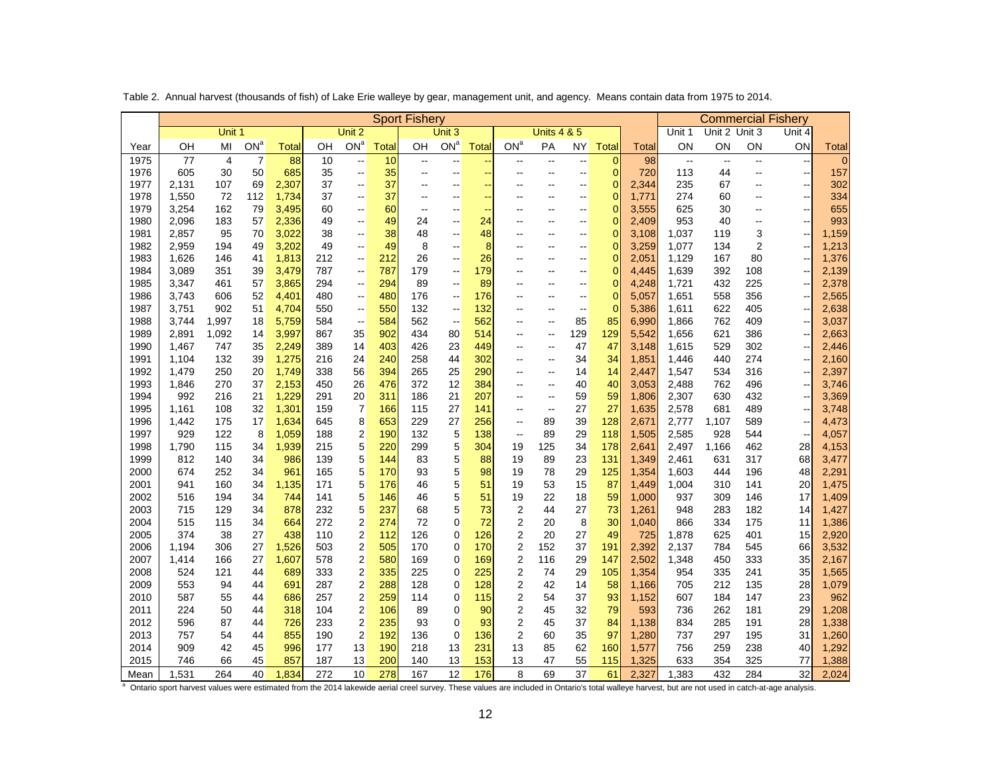|              | <b>Sport Fishery</b> |                |                 |                |            |                                               |              |                          |                                               |              |                          |                                                      |                          |                |                |                | <b>Commercial Fishery</b> |                          |                          |                |
|--------------|----------------------|----------------|-----------------|----------------|------------|-----------------------------------------------|--------------|--------------------------|-----------------------------------------------|--------------|--------------------------|------------------------------------------------------|--------------------------|----------------|----------------|----------------|---------------------------|--------------------------|--------------------------|----------------|
|              |                      | Unit 1         |                 |                |            | Unit 2                                        |              |                          | Unit 3                                        |              |                          | <b>Units 4 &amp; 5</b>                               |                          |                |                | Unit 1         | Unit 2 Unit 3             |                          | Unit 4                   |                |
| Year         | OH                   | MI             | ON <sup>a</sup> | Total          | OH         | ON <sup>a</sup>                               | <b>Total</b> | OH                       | ON <sup>a</sup>                               | <b>Total</b> | ON <sup>a</sup>          | PA                                                   | <b>NY</b>                | <b>Total</b>   | Total          | ON             | ON                        | ON                       | ON                       | Total          |
| 1975         | 77                   | $\overline{4}$ | $\overline{7}$  | 88             | 10         | $\overline{\phantom{a}}$                      | 10           | $\overline{\phantom{a}}$ | Ξ.                                            |              | μ.                       | $\overline{\phantom{a}}$                             | $\overline{\phantom{a}}$ | $\overline{0}$ | 98             | $\ddotsc$      | $\sim$                    | $\mathbf{L}$             | --                       | $\overline{0}$ |
| 1976         | 605                  | 30             | 50              | 685            | 35         | $\sim$                                        | 35           | $\overline{\phantom{a}}$ | --                                            |              | --                       | $\sim$                                               | --                       | $\Omega$       | 720            | 113            | 44                        | $\sim$                   |                          | 157            |
| 1977         | 2,131                | 107            | 69              | 2,307          | 37         | $\sim$                                        | 37           | $\overline{a}$           | --                                            |              | $-$                      | --                                                   | $\overline{a}$           | $\Omega$       | 2,344          | 235            | 67                        | $\overline{\phantom{a}}$ | $\overline{\phantom{a}}$ | 302            |
| 1978         | 1,550                | 72             | 112             | 1,734          | 37         | $\mathbf{L}$                                  | 37           | $\overline{a}$           | --                                            |              |                          | $\overline{a}$                                       | $\overline{a}$           | $\Omega$       | 1,771          | 274            | 60                        | $\overline{\phantom{a}}$ | --                       | 334            |
| 1979         | 3,254                | 162            | 79              | 3,495          | 60         | $\mathord{\hspace{1pt}\text{--}\hspace{1pt}}$ | 60           | $\sim$                   | --                                            |              | --                       | $\sim$                                               | --                       | $\overline{0}$ | 3,555          | 625            | 30                        | --                       | --                       | 655            |
| 1980         | 2,096                | 183            | 57              | 2,336          | 49         | $\mathord{\hspace{1pt}\text{--}\hspace{1pt}}$ | 49           | 24                       | --                                            | 24           | ۵.                       | $\overline{\phantom{a}}$                             | --                       | $\mathbf 0$    | 2,409          | 953            | 40                        | --                       | $\overline{\phantom{a}}$ | 993            |
| 1981         | 2,857                | 95             | 70              | 3,022          | 38         | $\sim$                                        | 38           | 48                       | $\overline{\phantom{a}}$                      | 48           | --                       | $\sim$                                               | --                       | $\overline{0}$ | 3,108          | 1,037          | 119                       | 3                        |                          | 1,159          |
| 1982         | 2,959                | 194            | 49              | 3,202          | 49         | $\mathord{\hspace{1pt}\text{--}\hspace{1pt}}$ | 49           | 8                        | --                                            | 8            | --                       | --                                                   | --                       | $\overline{0}$ | 3,259          | 1,077          | 134                       | 2                        |                          | 1,213          |
| 1983         | 1,626                | 146            | 41              | 1,813          | 212        | $\mathcal{L}_{\mathcal{F}}$                   | 212          | 26                       | $\overline{\phantom{a}}$                      | 26           | ۵.                       | --                                                   | --                       | $\Omega$       | 2,051          | 1,129          | 167                       | 80                       |                          | 1,376          |
| 1984         | 3,089                | 351            | 39              | 3,479          | 787        | $\sim$                                        | 787          | 179                      | $\overline{\phantom{a}}$                      | 179          | $\overline{a}$           | $\sim$                                               | $\overline{a}$           | $\overline{0}$ | 4,445          | 1,639          | 392                       | 108                      |                          | 2,139          |
| 1985         | 3,347                | 461            | 57              | 3,865          | 294        | $\sim$                                        | 294          | 89                       | $\overline{\phantom{a}}$                      | 89           | ä.                       | $\overline{a}$                                       | --                       | $\Omega$       | 4,248          | 1,721          | 432                       | 225                      |                          | 2,378          |
| 1986         | 3,743                | 606            | 52              | 4,401          | 480        | $\sim$                                        | 480          | 176                      | $\overline{\phantom{a}}$                      | 176          | $-$                      | $\overline{\phantom{a}}$                             | $\sim$                   | $\Omega$       | 5,057          | 1,651          | 558                       | 356                      | --                       | 2,565          |
| 1987         | 3,751                | 902            | 51              | 4,704          | 550        | $\mathbf{m}$                                  | 550          | 132                      | $\mathord{\hspace{1pt}\text{--}\hspace{1pt}}$ | 132          | $-$                      | $\sim$                                               | $\overline{a}$           | $\overline{0}$ | 5,386          | 1,611          | 622                       | 405                      |                          | 2,638          |
| 1988         | 3,744                | 1,997          | 18              | 5,759          | 584        | $\mathbf{m}$                                  | 584<br>902   | 562                      | $\overline{\phantom{a}}$                      | 562          | --                       | $\sim$                                               | 85                       | 85             | 6,990          | 1,866          | 762                       | 409                      |                          | 3,037          |
| 1989         | 2,891                | 1,092          | 14              | 3,997          | 867        | 35                                            |              | 434                      | 80                                            | 514          | $\overline{\phantom{a}}$ | $\overline{\phantom{a}}$                             | 129                      | 129            | 5,542          | 1,656          | 621                       | 386                      |                          | 2,663          |
| 1990<br>1991 | 1,467                | 747            | 35<br>39        | 2,249          | 389        | 14                                            | 403<br>240   | 426<br>258               | 23<br>44                                      | 449<br>302   | $-$                      | $\sim$                                               | 47<br>34                 | 47<br>34       | 3,148          | 1,615          | 529<br>440                | 302<br>274               | --                       | 2,446          |
| 1992         | 1,104<br>1,479       | 132<br>250     | 20              | 1,275<br>1,749 | 216<br>338 | 24<br>56                                      | 394          | 265                      | 25                                            | 290          | --<br>$\overline{a}$     | $\sim$                                               | 14                       | 14             | 1,851<br>2,447 | 1,446<br>1,547 | 534                       | 316                      |                          | 2,160<br>2,397 |
| 1993         | 1,846                | 270            | 37              | 2,153          | 450        | 26                                            | 476          | 372                      | 12                                            | 384          | $\overline{a}$           | $\overline{\phantom{a}}$<br>$\overline{\phantom{a}}$ | 40                       | 40             | 3,053          | 2,488          | 762                       | 496                      |                          | 3,746          |
| 1994         | 992                  | 216            | 21              | 1,229          | 291        | 20                                            | 311          | 186                      | 21                                            | 207          | $\overline{\phantom{a}}$ | $\mathord{\hspace{1pt}\text{--}\hspace{1pt}}$        | 59                       | 59             | 1,806          | 2,307          | 630                       | 432                      |                          | 3,369          |
| 1995         | 1,161                | 108            | 32              | 1,301          | 159        | $\overline{7}$                                | 166          | 115                      | 27                                            | 141          | $\overline{\phantom{a}}$ | $\overline{\phantom{a}}$                             | 27                       | 27             | 1,635          | 2,578          | 681                       | 489                      |                          | 3,748          |
| 1996         | 1,442                | 175            | 17              | 1,634          | 645        | 8                                             | 653          | 229                      | 27                                            | 256          | $\overline{\phantom{a}}$ | 89                                                   | 39                       | 128            | 2,671          | 2,777          | 1,107                     | 589                      |                          | 4,473          |
| 1997         | 929                  | 122            | 8               | 1,059          | 188        | 2                                             | 190          | 132                      | 5                                             | 138          | $\sim$                   | 89                                                   | 29                       | 118            | 1,505          | 2,585          | 928                       | 544                      |                          | 4,057          |
| 1998         | 1,790                | 115            | 34              | 1,939          | 215        | 5                                             | 220          | 299                      | 5                                             | 304          | 19                       | 125                                                  | 34                       | 178            | 2,641          | 2,497          | 1,166                     | 462                      | 28                       | 4,153          |
| 1999         | 812                  | 140            | 34              | 986            | 139        | 5                                             | 144          | 83                       | 5                                             | 88           | 19                       | 89                                                   | 23                       | 131            | 1,349          | 2,461          | 631                       | 317                      | 68                       | 3,477          |
| 2000         | 674                  | 252            | 34              | 961            | 165        | 5                                             | 170          | 93                       | 5                                             | 98           | 19                       | 78                                                   | 29                       | 125            | 1,354          | 1,603          | 444                       | 196                      | 48                       | 2,291          |
| 2001         | 941                  | 160            | 34              | 1,135          | 171        | 5                                             | 176          | 46                       | 5                                             | 51           | 19                       | 53                                                   | 15                       | 87             | 1,449          | 1,004          | 310                       | 141                      | 20                       | 1,475          |
| 2002         | 516                  | 194            | 34              | 744            | 141        | 5                                             | 146          | 46                       | 5                                             | 51           | 19                       | 22                                                   | 18                       | 59             | 1,000          | 937            | 309                       | 146                      | 17                       | 1,409          |
| 2003         | 715                  | 129            | 34              | 878            | 232        | 5                                             | 237          | 68                       | 5                                             | 73           | $\overline{c}$           | 44                                                   | 27                       | 73             | 1,261          | 948            | 283                       | 182                      | 14                       | 1,427          |
| 2004         | 515                  | 115            | 34              | 664            | 272        | 2                                             | 274          | 72                       | 0                                             | 72           | $\overline{2}$           | 20                                                   | 8                        | 30             | 1,040          | 866            | 334                       | 175                      | 11                       | 1,386          |
| 2005         | 374                  | 38             | 27              | 438            | 110        | 2                                             | 112          | 126                      | 0                                             | 126          | $\overline{2}$           | 20                                                   | 27                       | 49             | 725            | 1,878          | 625                       | 401                      | 15                       | 2,920          |
| 2006         | 1,194                | 306            | 27              | 1,526          | 503        | 2                                             | 505          | 170                      | 0                                             | 170          | 2                        | 152                                                  | 37                       | 191            | 2,392          | 2,137          | 784                       | 545                      | 66                       | 3,532          |
| 2007         | 1,414                | 166            | 27              | 1,607          | 578        | $\overline{2}$                                | 580          | 169                      | 0                                             | 169          | 2                        | 116                                                  | 29                       | 147            | 2,502          | 1,348          | 450                       | 333                      | 35                       | 2,167          |
| 2008         | 524                  | 121            | 44              | 689            | 333        | $\overline{2}$                                | 335          | 225                      | $\mathbf 0$                                   | 225          | 2                        | 74                                                   | 29                       | 105            | 1,354          | 954            | 335                       | 241                      | 35                       | 1,565          |
| 2009         | 553                  | 94             | 44              | 691            | 287        | $\overline{\mathbf{c}}$                       | 288          | 128                      | 0                                             | 128          | 2                        | 42                                                   | 14                       | 58             | 1,166          | 705            | 212                       | 135                      | 28                       | 1,079          |
| 2010         | 587                  | 55             | 44              | 686            | 257        | $\overline{2}$                                | 259          | 114                      | 0                                             | 115          | 2                        | 54                                                   | 37                       | 93             | 1,152          | 607            | 184                       | 147                      | 23                       | 962            |
| 2011         | 224                  | 50             | 44              | 318            | 104        | $\overline{2}$                                | 106          | 89                       | 0                                             | 90           | $\overline{2}$           | 45                                                   | 32                       | 79             | 593            | 736            | 262                       | 181                      | 29                       | 1,208          |
| 2012         | 596                  | 87             | 44              | 726            | 233        | $\overline{2}$                                | 235          | 93                       | 0                                             | 93           | 2                        | 45                                                   | 37                       | 84             | 1,138          | 834            | 285                       | 191                      | 28                       | 1,338          |
| 2013         | 757                  | 54             | 44              | 855            | 190        | $\overline{2}$                                | 192          | 136                      | 0                                             | 136          | $\overline{2}$           | 60                                                   | 35                       | 97             | 1,280          | 737            | 297                       | 195                      | 31                       | 1,260          |
| 2014         | 909                  | 42             | 45              | 996            | 177        | 13                                            | 190          | 218                      | 13                                            | 231          | 13                       | 85                                                   | 62                       | 160            | 1,577          | 756            | 259                       | 238                      | 40                       | 1,292          |
| 2015         | 746                  | 66             | 45              | 857            | 187        | 13                                            | 200          | 140                      | 13                                            | 153          | 13                       | 47                                                   | 55                       | 115            | 1,325          | 633            | 354                       | 325                      | 77                       | 1,388          |
| Mean         | 1,531                | 264            | 40              | 1.834          | 272        | 10                                            | 278          | 167                      | 12                                            | 176          | 8                        | 69                                                   | 37                       | 61             | 2.327          | 1,383          | 432                       | 284                      | 32                       | 2,024          |

Table 2. Annual harvest (thousands of fish) of Lake Erie walleye by gear, management unit, and agency. Means contain data from 1975 to 2014.

<sup>a</sup> Ontario sport harvest values were estimated from the 2014 lakewide aerial creel survey. These values are included in Ontario's total walleye harvest, but are not used in catch-at-age analysis.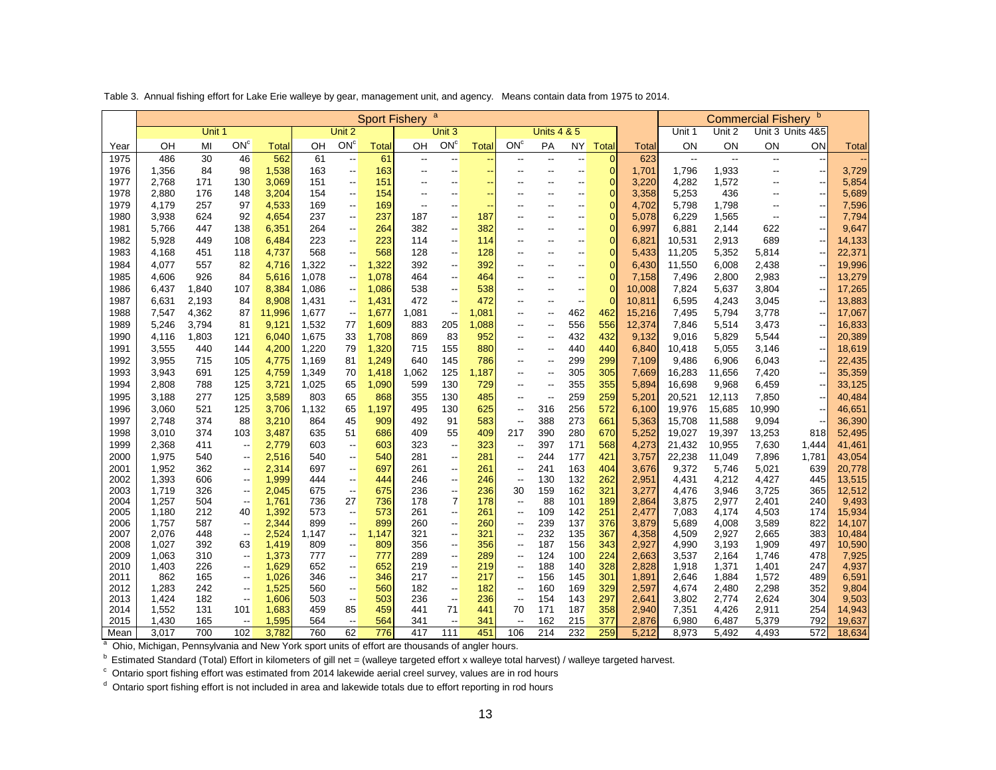|              |                                                                                                | <b>Sport Fishery</b> |                                |                |              |                                                      |              |                          |                                |              |                                                      |                          |                          |                |                |                | <b>Commercial Fishery</b> |                          |                          |                 |
|--------------|------------------------------------------------------------------------------------------------|----------------------|--------------------------------|----------------|--------------|------------------------------------------------------|--------------|--------------------------|--------------------------------|--------------|------------------------------------------------------|--------------------------|--------------------------|----------------|----------------|----------------|---------------------------|--------------------------|--------------------------|-----------------|
|              |                                                                                                | Unit 2<br>Unit 1     |                                |                |              |                                                      |              |                          | Unit 3                         |              |                                                      | <b>Units 4 &amp; 5</b>   |                          |                |                | Unit 1         | Unit 2                    |                          | Unit 3 Units 4&5         |                 |
| Year         | OH                                                                                             | MI                   | ON <sup>c</sup>                | <b>Total</b>   | OH           | ON <sup>c</sup>                                      | <b>Total</b> | OH                       | ON <sup>c</sup>                | <b>Total</b> | ON <sup>c</sup>                                      | PA                       | <b>NY</b>                | <b>Total</b>   | <b>Total</b>   | ON             | ON                        | ON                       | ON                       | <b>Total</b>    |
| 1975         | 486                                                                                            | 30                   | 46                             | 562            | 61           | $\overline{\phantom{a}}$                             | 61           | --                       | $\overline{\phantom{a}}$       |              | --                                                   | $\overline{a}$           | $\overline{\phantom{a}}$ | $\overline{0}$ | 623            | Ξ.             | $\ddotsc$                 | --                       |                          |                 |
| 1976         | 1,356                                                                                          | 84                   | 98                             | 1,538          | 163          | $\overline{\phantom{a}}$                             | 163          | $\overline{\phantom{a}}$ | $\overline{\phantom{a}}$       |              | --                                                   | $\overline{\phantom{a}}$ | $\overline{\phantom{a}}$ | $\mathbf{0}$   | 1,701          | 1,796          | 1,933                     | --                       | $\overline{\phantom{a}}$ | 3,729           |
| 1977         | 2,768                                                                                          | 171                  | 130                            | 3,069          | 151          | $\overline{\phantom{a}}$                             | 151          |                          | $-$                            |              | $-$                                                  | $-$                      | $-$                      | $\overline{0}$ | 3,220          | 4,282          | 1,572                     | $-$                      | ٠.                       | 5,854           |
| 1978         | 2.880                                                                                          | 176                  | 148                            | 3,204          | 154          | $\overline{\phantom{a}}$                             | 154          | --                       | --                             |              | --                                                   | --                       | --                       | $\overline{0}$ | 3,358          | 5,253          | 436                       | $\overline{\phantom{a}}$ | Ξ,                       | 5,689           |
| 1979         | 4,179                                                                                          | 257                  | 97                             | 4,533          | 169          | $\overline{\phantom{a}}$                             | 169          |                          | $\overline{\phantom{a}}$       |              |                                                      | --                       |                          | $\overline{0}$ | 4,702          | 5,798          | 1,798                     |                          |                          | 7,596           |
| 1980         | 3,938                                                                                          | 624                  | 92                             | 4,654          | 237          | $\overline{\phantom{a}}$                             | 237          | 187                      | $\overline{\phantom{a}}$       | 187          | --                                                   | $-$                      |                          | $\overline{0}$ | 5,078          | 6,229          | 1,565                     | --                       |                          | 7,794           |
| 1981         | 5,766                                                                                          | 447                  | 138                            | 6,351          | 264          | $\overline{\phantom{a}}$                             | 264          | 382                      | $\overline{\phantom{a}}$       | 382          | $-$                                                  | $-$                      | $\overline{\phantom{a}}$ | $\mathbf{0}$   | 6,997          | 6,881          | 2,144                     | 622                      | $\overline{\phantom{a}}$ | 9,647           |
| 1982         | 5,928                                                                                          | 449                  | 108                            | 6,484          | 223          | --                                                   | 223          | 114                      | $\overline{\phantom{a}}$       | 114          | $-$                                                  | --                       |                          | $\overline{0}$ | 6,821          | 10,531         | 2,913                     | 689                      |                          | 14,133          |
| 1983         | 4,168                                                                                          | 451                  | 118                            | 4,737          | 568          | $\overline{\phantom{a}}$                             | 568          | 128                      | $\overline{\phantom{a}}$       | 128          | $-$                                                  | $-$                      | $-$                      | $\overline{0}$ | 5,433          | 11,205         | 5,352                     | 5,814                    |                          | 22,371          |
| 1984         | 4,077                                                                                          | 557                  | 82                             | 4,716          | 1,322        | $\overline{\phantom{a}}$                             | ,322         | 392                      | $\overline{\phantom{a}}$       | 392          | --                                                   | --                       | $\overline{\phantom{a}}$ | $\mathbf{0}$   | 6,430          | 11,550         | 6,008                     | 2,438                    | Ξ,                       | 19,996          |
| 1985         | 4,606                                                                                          | 926                  | 84                             | 5,616          | 1,078        | $\overline{\phantom{a}}$                             | 1,078        | 464                      | $\overline{\phantom{a}}$       | 464          |                                                      | --                       |                          | $\overline{0}$ | 7,158          | 7,496          | 2,800                     | 2,983                    |                          | 13,279          |
| 1986         | 6,437                                                                                          | 1,840                | 107                            | 8,384          | 1,086        | $\overline{\phantom{a}}$                             | 1,086        | 538                      | ۰.                             | 538          | $-$                                                  | --                       | $\overline{\phantom{a}}$ | $\mathbf{0}$   | 10,008         | 7,824          | 5,637                     | 3,804                    |                          | 17,265          |
| 1987         | 6,631                                                                                          | 2,193                | 84                             | 8,908          | 1,431        | $\overline{\phantom{a}}$                             | 1,431        | 472                      | $\overline{\phantom{a}}$       | 472          | $\overline{\phantom{a}}$                             | $\overline{\phantom{a}}$ | $\overline{\phantom{a}}$ | $\mathbf{0}$   | 10,811         | 6,595          | 4,243                     | 3,045                    | $\overline{\phantom{a}}$ | 13,883          |
| 1988         | 7,547                                                                                          | 4,362                | 87                             | 11,996         | 1,677        | $\overline{\phantom{a}}$                             | 1,677        | 1,081                    | $\overline{\phantom{a}}$       | 1,081        | --                                                   | --                       | 462                      | 462            | 15,216         | 7,495          | 5,794                     | 3,778                    |                          | 17,067          |
| 1989         | 5,246                                                                                          | 3,794                | 81                             | 9,121          | 1,532        | 77                                                   | 1,609        | 883                      | 205                            | 1,088        | $- -$                                                | --                       | 556                      | 556            | 12,374         | 7,846          | 5,514                     | 3,473                    |                          | 16,833          |
| 1990         | 4,116                                                                                          | 1,803                | 121                            | 6,040          | 1,675        | 33                                                   | 1,708        | 869                      | 83                             | 952          | --                                                   | --                       | 432                      | 432            | 9,132          | 9,016          | 5,829                     | 5,544                    |                          | 20,389          |
| 1991         | 3,555                                                                                          | 440                  | 144                            | 4,200          | 1,220        | 79                                                   | 1,320        | 715                      | 155                            | 880          | --                                                   | --                       | 440                      | 440            | 6,840          | 10,418         | 5,055                     | 3,146                    |                          | 18,619          |
| 1992         | 3,955                                                                                          | 715                  | 105                            | 4,775          | 1,169        | 81                                                   | 1,249        | 640                      | 145                            | 786          | $-$                                                  | $\overline{a}$           | 299                      | 299            | 7,109          | 9,486          | 6,906                     | 6,043                    |                          | 22,435          |
| 1993         | 3,943                                                                                          | 691                  | 125                            | 4,759          | 1,349        | 70                                                   | 1,418        | 1,062                    | 125                            | 1,187        | $\overline{\phantom{a}}$                             | $\overline{a}$           | 305                      | 305            | 7,669          | 16,283         | 11,656                    | 7,420                    |                          | 35,359          |
| 1994         | 2,808                                                                                          | 788                  | 125                            | 3,721          | 1,025        | 65                                                   | 1,090        | 599                      | 130                            | 729          | --                                                   | $\overline{a}$           | 355                      | 355            | 5,894          | 16,698         | 9,968                     | 6,459                    |                          | 33,125          |
| 1995         | 3,188                                                                                          | 277                  | 125                            | 3,589          | 803          | 65                                                   | 868          | 355                      | 130                            | 485          | --                                                   | $\overline{\phantom{a}}$ | 259                      | 259            | 5,201          | 20,521         | 12,113                    | 7,850                    |                          | 40,484          |
| 1996         | 3,060                                                                                          | 521                  | 125                            | 3,706          | 1,132        | 65                                                   | 1,197        | 495                      | 130                            | 625          | $\overline{\phantom{a}}$                             | 316                      | 256                      | 572            | 6,100          | 19,976         | 15,685                    | 10,990                   |                          | 46,651          |
| 1997         | 2,748                                                                                          | 374                  | 88                             | 3,210          | 864          | 45                                                   | 909          | 492                      | 91                             | 583          | $\overline{\phantom{a}}$                             | 388                      | 273                      | 661            | 5,363          | 15,708         | 11,588                    | 9,094                    |                          | 36,390          |
| 1998         | 3,010                                                                                          | 374                  | 103                            | 3,487          | 635          | 51                                                   | 686          | 409                      | 55                             | 409          | 217                                                  | 390                      | 280                      | 670            | 5,252          | 19,027         | 19,397                    | 13,253                   | 818                      | 52,495          |
| 1999         | 2,368                                                                                          | 411                  | $\overline{\phantom{a}}$       | 2,779          | 603          | $\overline{\phantom{a}}$                             | 603          | 323                      | $\overline{\phantom{a}}$       | 323          | $\overline{\phantom{a}}$                             | 397                      | 171                      | 568            | 4,273          | 21,432         | 10,955                    | 7,630                    | 1,444                    | 41,461          |
| 2000         | 1,975                                                                                          | 540                  | $\overline{\phantom{a}}$       | 2,516          | 540          | $\overline{\phantom{a}}$                             | 540          | 281                      | $\overline{\phantom{a}}$       | 281          | $\overline{\phantom{a}}$                             | 244                      | 177                      | 421            | 3,757          | 22,238         | 11,049                    | 7,896                    | 1,781                    | 43,054          |
| 2001         | 1,952                                                                                          | 362                  | н.                             | 2,314          | 697          | $\overline{\phantom{a}}$                             | 697          | 261                      | $\overline{\phantom{a}}$       | 261          | $\overline{\phantom{a}}$                             | 241                      | 163                      | 404            | 3,676          | 9,372          | 5,746                     | 5,021                    | 639                      | 20,778          |
| 2002         | 1,393                                                                                          | 606                  | н.                             | 1,999          | 444          | $\overline{\phantom{a}}$                             | 444          | 246                      | $\overline{\phantom{a}}$       | 246          | $\overline{\phantom{a}}$                             | 130                      | 132                      | 262            | 2,951          | 4,431          | 4,212                     | 4,427                    | 445                      | 13,515          |
| 2003         | 1,719                                                                                          | 326                  | $\overline{\phantom{a}}$       | 2,045          | 675          | $\overline{\phantom{a}}$                             | 675          | 236                      | $\overline{\phantom{a}}$       | 236          | 30                                                   | 159                      | 162                      | 321            | 3,277          | 4,476          | 3,946                     | 3,725                    | 365                      | 12,512          |
| 2004         | 1,257                                                                                          | 504                  | $\overline{\phantom{a}}$       | 1,761          | 736          | 27                                                   | 736          | 178                      | $\overline{7}$                 | 178          | $\overline{\phantom{a}}$                             | 88                       | 101                      | 189            | 2,864          | 3,875          | 2,977                     | 2,401                    | 240                      | 9,493           |
| 2005         | 1,180                                                                                          | 212                  | 40                             | 1,392          | 573          | $\overline{\phantom{a}}$                             | 573          | 261                      | $\overline{\phantom{a}}$       | 261          | $\overline{\phantom{a}}$                             | 109                      | 142                      | 251            | 2,477          | 7,083          | 4,174                     | 4,503                    | 174                      | 15,934          |
| 2006         | 1,757                                                                                          | 587                  | $\overline{\phantom{a}}$       | 2,344          | 899          | $\overline{\phantom{a}}$                             | 899          | 260                      | $\overline{\phantom{a}}$       | 260          | $\overline{\phantom{a}}$                             | 239                      | 137                      | 376            | 3,879          | 5,689          | 4,008                     | 3,589                    | 822                      | 14,107          |
| 2007<br>2008 | 2,076<br>1,027                                                                                 | 448<br>392           | $\overline{\phantom{a}}$<br>63 | 2,524<br>1,419 | 1,147<br>809 | $\overline{\phantom{a}}$                             | ,147<br>809  | 321<br>356               | ۰.<br>$\overline{\phantom{a}}$ | 321<br>356   | $\overline{\phantom{a}}$<br>$\overline{\phantom{a}}$ | 232<br>187               | 135<br>156               | 367<br>343     | 4,358<br>2,927 | 4,509<br>4,990 | 2,927<br>3,193            | 2,665<br>1,909           | 383<br>497               | 10,484          |
| 2009         | 1,063                                                                                          | 310                  | $\overline{\phantom{a}}$       | 1,373          | 777          | $\overline{\phantom{a}}$<br>$\overline{\phantom{a}}$ | 777          | 289                      | $\overline{\phantom{a}}$       | 289          | $\overline{\phantom{a}}$                             | 124                      | 100                      | 224            | 2,663          | 3,537          | 2,164                     | 1,746                    | 478                      | 10,590<br>7,925 |
| 2010         | 1,403                                                                                          | 226                  | $\overline{\phantom{a}}$       | 1,629          | 652          | $\overline{\phantom{a}}$                             | 652          | 219                      | $\overline{\phantom{a}}$       | 219          | $\overline{\phantom{a}}$                             | 188                      | 140                      | 328            | 2,828          | 1,918          | 1,371                     | 1,401                    | 247                      | 4,937           |
| 2011         | 862                                                                                            | 165                  | н.                             | 1,026          | 346          | $\overline{\phantom{a}}$                             | 346          | 217                      | $\overline{\phantom{a}}$       | 217          | $\overline{\phantom{a}}$                             | 156                      | 145                      | 301            | 1,891          | 2,646          | 1,884                     | 1,572                    | 489                      | 6,591           |
| 2012         | 1,283                                                                                          | 242                  | $\overline{\phantom{a}}$       | 1,525          | 560          | $\overline{\phantom{a}}$                             | 560          | 182                      | $\overline{\phantom{a}}$       | 182          | $\overline{\phantom{a}}$                             | 160                      | 169                      | 329            | 2,597          | 4,674          | 2,480                     | 2,298                    | 352                      | 9,804           |
| 2013         | 1,424                                                                                          | 182                  | $\overline{\phantom{a}}$       | 1,606          | 503          | $\overline{\phantom{a}}$                             | 503          | 236                      | $\overline{\phantom{a}}$       | 236          | $\overline{\phantom{a}}$                             | 154                      | 143                      | 297            | 2,641          | 3,802          | 2,774                     | 2,624                    | 304                      | 9,503           |
| 2014         | 1,552                                                                                          | 131                  | 101                            | 1,683          | 459          | 85                                                   | 459          | 441                      | 71                             | 441          | 70                                                   | 171                      | 187                      | 358            | 2,940          | 7,351          | 4,426                     | 2,911                    | 254                      | 14,943          |
| 2015         | 1,430                                                                                          | 165                  | --                             | 1,595          | 564          | $\overline{\phantom{a}}$                             | 564          | 341                      | $\overline{\phantom{a}}$       | 341          | $\overline{\phantom{a}}$                             | 162                      | 215                      | 377            | 2,876          | 6,980          | 6,487                     | 5,379                    | 792                      | 19,637          |
| Mean         | 3,017                                                                                          | 700                  | 102                            | 3,782          | 760          | 62                                                   | 776          | 417                      | 111                            | 451          | 106                                                  | 214                      | 232                      | 259            | 5,212          | 8,973          | 5,492                     | 4,493                    | 572                      | 18,634          |
|              | Ohio, Michigan, Pennsylvania and New York sport units of effort are thousands of angler hours. |                      |                                |                |              |                                                      |              |                          |                                |              |                                                      |                          |                          |                |                |                |                           |                          |                          |                 |

Table 3. Annual fishing effort for Lake Erie walleye by gear, management unit, and agency. Means contain data from 1975 to 2014.

<sup>b</sup> Estimated Standard (Total) Effort in kilometers of gill net = (walleye targeted effort x walleye total harvest*) /* walleye targeted harvest.<br><sup>c</sup> Ontario sport fishing effort was estimated from 2014 lakewide aerial cre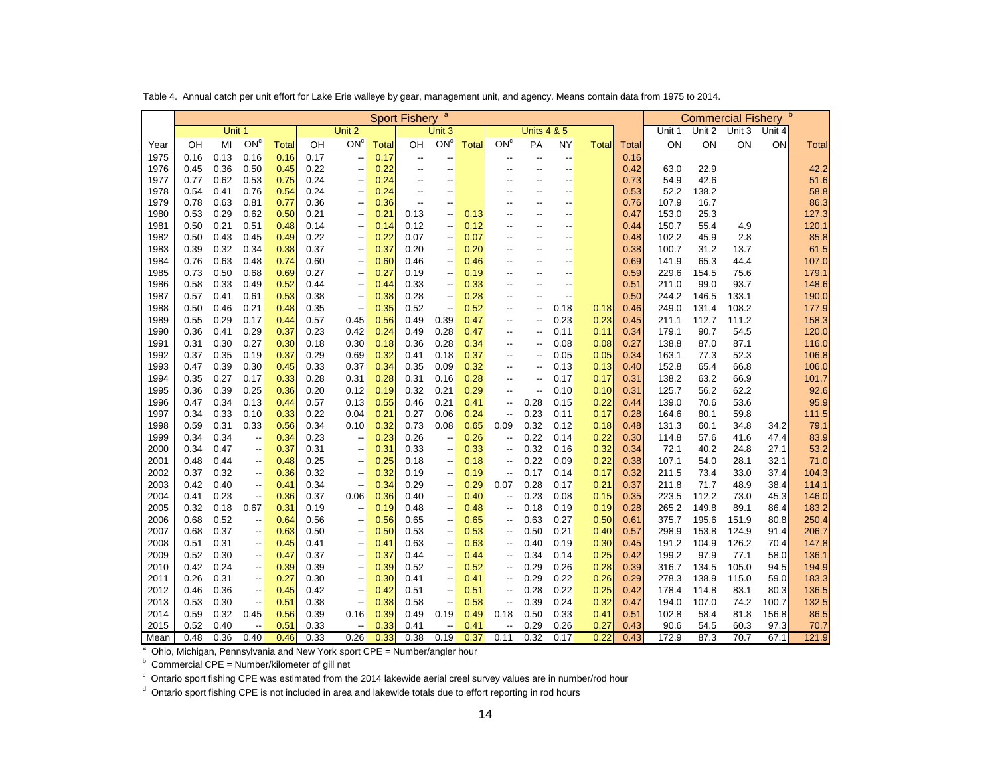|              |              | $\mathsf{a}$<br><b>Sport Fishery</b> |                          |              |              |                                                                          |              |              |                                  |              |                                  |                          |              |              | <b>Commercial Fishery</b> |                |               |              |                |                |
|--------------|--------------|--------------------------------------|--------------------------|--------------|--------------|--------------------------------------------------------------------------|--------------|--------------|----------------------------------|--------------|----------------------------------|--------------------------|--------------|--------------|---------------------------|----------------|---------------|--------------|----------------|----------------|
|              |              | Unit 1                               |                          |              |              | Unit 2                                                                   |              |              | Unit 3                           |              |                                  | <b>Units 4 &amp; 5</b>   |              |              |                           | Unit 1         | Unit 2        | Unit 3       | Unit 4         |                |
| Year         | OH           | MI                                   | ON <sup>c</sup>          | <b>Total</b> | OH           | ON <sup>c</sup>                                                          | Total        | OH           | ON <sup>c</sup>                  | <b>Total</b> | ON <sup>c</sup>                  | PA                       | <b>NY</b>    | Total        | <b>Total</b>              | ON             | ON            | ON           | ON             | Total          |
| 1975         | 0.16         | 0.13                                 | 0.16                     | 0.16         | 0.17         | --                                                                       | 0.17         | --           |                                  |              | $\overline{a}$                   | --                       | --           |              | 0.16                      |                |               |              |                |                |
| 1976         | 0.45         | 0.36                                 | 0.50                     | 0.45         | 0.22         | ٠.                                                                       | 0.22         | --           |                                  |              |                                  | ٠.                       | ٠.           |              | 0.42                      | 63.0           | 22.9          |              |                | 42.2           |
| 1977         | 0.77         | 0.62                                 | 0.53                     | 0.75         | 0.24         | ٠.                                                                       | 0.24         | ٠.           |                                  |              |                                  |                          | ٠.           |              | 0.73                      | 54.9           | 42.6          |              |                | 51.6           |
| 1978         | 0.54<br>0.78 | 0.41                                 | 0.76                     | 0.54         | 0.24         | ٠.                                                                       | 0.24         | --           | --<br>--                         |              |                                  | --<br>--                 | --<br>٠.     |              | 0.53<br>0.76              | 52.2<br>107.9  | 138.2<br>16.7 |              |                | 58.8<br>86.3   |
| 1979<br>1980 | 0.53         | 0.63<br>0.29                         | 0.81<br>0.62             | 0.77<br>0.50 | 0.36<br>0.21 | ٠.<br>--                                                                 | 0.36<br>0.21 | --<br>0.13   | $\overline{\phantom{a}}$         | 0.13         |                                  | --                       | Ξ.           |              | 0.47                      | 153.0          | 25.3          |              |                | 127.3          |
| 1981         | 0.50         | 0.21                                 | 0.51                     | 0.48         | 0.14         | --                                                                       | 0.14         | 0.12         | $\overline{a}$                   | 0.12         | $\overline{\phantom{a}}$         | --                       | --           |              | 0.44                      | 150.7          | 55.4          | 4.9          |                | 120.1          |
| 1982         | 0.50         | 0.43                                 | 0.45                     | 0.49         | 0.22         | ٠.                                                                       | 0.22         | 0.07         | $\overline{a}$                   | 0.07         | $\overline{a}$                   | $-$                      | $-$          |              | 0.48                      | 102.2          | 45.9          | 2.8          |                | 85.8           |
| 1983         | 0.39         | 0.32                                 | 0.34                     | 0.38         | 0.37         | --                                                                       | 0.37         | 0.20         | н.                               | 0.20         |                                  |                          |              |              | 0.38                      | 100.7          | 31.2          | 13.7         |                | 61.5           |
| 1984         | 0.76         | 0.63                                 | 0.48                     | 0.74         | 0.60         | ٠.                                                                       | 0.60         | 0.46         | н.                               | 0.46         | н.                               | --                       |              |              | 0.69                      | 141.9          | 65.3          | 44.4         |                | 107.0          |
| 1985         | 0.73         | 0.50                                 | 0.68                     | 0.69         | 0.27         | --                                                                       | 0.27         | 0.19         | --                               | 0.19         | $\overline{\phantom{a}}$         | --                       | --           |              | 0.59                      | 229.6          | 154.5         | 75.6         |                | 179.1          |
| 1986         | 0.58         | 0.33                                 | 0.49                     | 0.52         | 0.44         | --                                                                       | 0.44         | 0.33         | $\overline{a}$                   | 0.33         | $\overline{a}$                   | --                       | --           |              | 0.51                      | 211.0          | 99.0          | 93.7         |                | 148.6          |
| 1987         | 0.57         | 0.41                                 | 0.61                     | 0.53         | 0.38         | --                                                                       | 0.38         | 0.28         | $\overline{a}$                   | 0.28         |                                  |                          | ٠.           |              | 0.50                      | 244.2          | 146.5         | 133.1        |                | 190.0          |
| 1988         | 0.50         | 0.46                                 | 0.21                     | 0.48         | 0.35         | $\overline{\phantom{a}}$                                                 | 0.35         | 0.52         | $\overline{a}$                   | 0.52         | $\overline{a}$                   | $\overline{\phantom{a}}$ | 0.18         | 0.18         | 0.46                      | 249.0          | 131.4         | 108.2        |                | 177.9          |
| 1989         | 0.55         | 0.29                                 | 0.17                     | 0.44         | 0.57         | 0.45                                                                     | 0.56         | 0.49         | 0.39                             | 0.47         | --                               | --                       | 0.23         | 0.23         | 0.45                      | 211.1          | 112.7         | 111.2        |                | 158.3          |
| 1990         | 0.36         | 0.41                                 | 0.29                     | 0.37         | 0.23         | 0.42                                                                     | 0.24         | 0.49         | 0.28                             | 0.47         | $\overline{a}$                   | $-$                      | 0.11         | 0.11         | 0.34                      | 179.1          | 90.7          | 54.5         |                | 120.0          |
| 1991         | 0.31         | 0.30                                 | 0.27                     | 0.30         | 0.18         | 0.30                                                                     | 0.18         | 0.36         | 0.28                             | 0.34         |                                  |                          | 0.08         | 0.08         | 0.27                      | 138.8          | 87.0          | 87.1         |                | 116.0          |
| 1992         | 0.37         | 0.35                                 | 0.19                     | 0.37         | 0.29         | 0.69                                                                     | 0.32         | 0.41         | 0.18                             | 0.37         | $\overline{\phantom{a}}$         | --                       | 0.05         | 0.05         | 0.34                      | 163.1          | 77.3          | 52.3         |                | 106.8          |
| 1993         | 0.47         | 0.39                                 | 0.30                     | 0.45         | 0.33         | 0.37                                                                     | 0.34         | 0.35         | 0.09                             | 0.32         | --                               | --                       | 0.13         | 0.13         | 0.40                      | 152.8          | 65.4          | 66.8         |                | 106.0          |
| 1994         | 0.35         | 0.27                                 | 0.17                     | 0.33         | 0.28         | 0.31                                                                     | 0.28         | 0.31         | 0.16                             | 0.28         |                                  |                          | 0.17         | 0.17         | 0.31                      | 138.2          | 63.2          | 66.9         |                | 101.7          |
| 1995         | 0.36         | 0.39                                 | 0.25                     | 0.36         | 0.20         | 0.12                                                                     | 0.19         | 0.32         | 0.21                             | 0.29         | $\overline{\phantom{a}}$         | --                       | 0.10         | 0.10         | 0.31                      | 125.7          | 56.2          | 62.2         |                | 92.6           |
| 1996         | 0.47         | 0.34                                 | 0.13                     | 0.44         | 0.57         | 0.13                                                                     | 0.55         | 0.46         | 0.21                             | 0.41         | н.                               | 0.28                     | 0.15         | 0.22         | 0.44                      | 139.0          | 70.6          | 53.6         |                | 95.9           |
| 1997         | 0.34         | 0.33                                 | 0.10                     | 0.33         | 0.22         | 0.04                                                                     | 0.21         | 0.27         | 0.06                             | 0.24         | $\overline{a}$                   | 0.23                     | 0.11         | 0.17         | 0.28                      | 164.6          | 80.1          | 59.8         |                | 111.5          |
| 1998         | 0.59         | 0.31                                 | 0.33                     | 0.56         | 0.34         | 0.10                                                                     | 0.32         | 0.73         | 0.08                             | 0.65         | 0.09                             | 0.32                     | 0.12         | 0.18         | 0.48                      | 131.3          | 60.1          | 34.8         | 34.2           | 79.1           |
| 1999         | 0.34         | 0.34                                 | $\overline{\phantom{a}}$ | 0.34         | 0.23         | $\overline{\phantom{a}}$                                                 | 0.23         | 0.26         | --                               | 0.26         | $\overline{\phantom{a}}$         | 0.22                     | 0.14         | 0.22         | 0.30                      | 114.8          | 57.6          | 41.6         | 47.4           | 83.9           |
| 2000         | 0.34         | 0.47                                 | --                       | 0.37         | 0.31         | --                                                                       | 0.31         | 0.33         | $\overline{a}$                   | 0.33         | $\overline{a}$                   | 0.32                     | 0.16         | 0.32         | 0.34                      | 72.1           | 40.2          | 24.8         | 27.1           | 53.2           |
| 2001         | 0.48         | 0.44                                 | --                       | 0.48         | 0.25         | --                                                                       | 0.25         | 0.18         | н.                               | 0.18         | н.                               | 0.22                     | 0.09         | 0.22         | 0.38                      | 107.1          | 54.0          | 28.1         | 32.1           | 71.0           |
| 2002         | 0.37         | 0.32                                 | --                       | 0.36         | 0.32         | ٠.                                                                       | 0.32         | 0.19         | н.                               | 0.19         | $\overline{\phantom{a}}$         | 0.17                     | 0.14         | 0.17         | 0.32                      | 211.5          | 73.4          | 33.0         | 37.4           | 104.3          |
| 2003         | 0.42         | 0.40                                 | --                       | 0.41         | 0.34         | --                                                                       | 0.34         | 0.29         | --                               | 0.29         | 0.07                             | 0.28                     | 0.17         | 0.21         | 0.37                      | 211.8          | 71.7          | 48.9         | 38.4           | 114.1          |
| 2004         | 0.41         | 0.23                                 | --                       | 0.36         | 0.37         | 0.06                                                                     | 0.36         | 0.40         | $\overline{\phantom{a}}$         | 0.40         | $\overline{\phantom{a}}$         | 0.23                     | 0.08         | 0.15         | 0.35                      | 223.5          | 112.2         | 73.0         | 45.3           | 146.0          |
| 2005         | 0.32         | 0.18                                 | 0.67                     | 0.31         | 0.19         | --                                                                       | 0.19         | 0.48         |                                  | 0.48         | $\overline{a}$                   | 0.18                     | 0.19         | 0.19         | 0.28                      | 265.2          | 149.8         | 89.1         | 86.4           | 183.2          |
| 2006         | 0.68         | 0.52                                 | --                       | 0.64         | 0.56         | --                                                                       | 0.56         | 0.65         | н.                               | 0.65         | $\overline{\phantom{a}}$         | 0.63                     | 0.27         | 0.50         | 0.61                      | 375.7          | 195.6         | 151.9        | 80.8           | 250.4          |
| 2007         | 0.68         | 0.37                                 | $\overline{\phantom{a}}$ | 0.63         | 0.50         | --                                                                       | 0.50         | 0.53         | н.                               | 0.53         | $\overline{\phantom{a}}$         | 0.50                     | 0.21         | 0.40         | 0.57                      | 298.9          | 153.8         | 124.9        | 91.4           | 206.7          |
| 2008         | 0.51         | 0.31                                 | --                       | 0.45         | 0.41         | --                                                                       | 0.41         | 0.63         | $\overline{\phantom{a}}$         | 0.63         | $\overline{\phantom{a}}$         | 0.40                     | 0.19         | 0.30         | 0.45                      | 191.2          | 104.9         | 126.2        | 70.4           | 147.8          |
| 2009         | 0.52         | 0.30                                 | --                       | 0.47         | 0.37         | --                                                                       | 0.37         | 0.44         |                                  | 0.44         | $\overline{\phantom{a}}$         | 0.34                     | 0.14         | 0.25         | 0.42                      | 199.2          | 97.9          | 77.1         | 58.0           | 136.1          |
| 2010         | 0.42         | 0.24                                 | $\overline{\phantom{a}}$ | 0.39         | 0.39         | --                                                                       | 0.39         | 0.52         | н.                               | 0.52         | $\overline{\phantom{a}}$         | 0.29                     | 0.26         | 0.28         | 0.39                      | 316.7          | 134.5         | 105.0        | 94.5           | 194.9          |
| 2011         | 0.26         | 0.31<br>0.36                         | --                       | 0.27         | 0.30         | --                                                                       | 0.30         | 0.41         | --                               | 0.41         | $\overline{\phantom{a}}$         | 0.29                     | 0.22<br>0.22 | 0.26         | 0.29                      | 278.3          | 138.9         | 115.0        | 59.0<br>80.3   | 183.3          |
| 2012         | 0.46         |                                      | $\overline{\phantom{a}}$ | 0.45         | 0.42         | --                                                                       | 0.42         | 0.51         | $\overline{a}$<br>$\overline{a}$ | 0.51         | $\overline{a}$<br>$\overline{a}$ | 0.28<br>0.39             | 0.24         | 0.25         | 0.42                      | 178.4          | 114.8         | 83.1         |                | 136.5<br>132.5 |
| 2013<br>2014 | 0.53<br>0.59 | 0.30<br>0.32                         | --<br>0.45               | 0.51<br>0.56 | 0.38<br>0.39 | $\overline{\phantom{a}}$<br>0.16                                         | 0.38<br>0.39 | 0.58<br>0.49 | 0.19                             | 0.58<br>0.49 | 0.18                             | 0.50                     | 0.33         | 0.32<br>0.41 | 0.47<br>0.51              | 194.0<br>102.8 | 107.0<br>58.4 | 74.2<br>81.8 | 100.7<br>156.8 | 86.5           |
| 2015         | 0.52         | 0.40                                 | $\overline{\phantom{a}}$ | 0.51         | 0.33         | $\overline{\phantom{a}}$                                                 | 0.33         | 0.41         | $\overline{\phantom{a}}$         | 0.41         | $\overline{\phantom{a}}$         | 0.29                     | 0.26         | 0.27         | 0.43                      | 90.6           | 54.5          | 60.3         | 97.3           | 70.7           |
| Mean         | 0.48         | 0.36                                 | 0.40                     | 0.46         | 0.33         | 0.26                                                                     | 0.33         | 0.38         | 0.19                             | 0.37         | 0.11                             | 0.32                     | 0.17         | 0.22         | 0.43                      | 172.9          | 87.3          | 70.7         | 67.1           | 121.9          |
|              |              |                                      |                          |              |              | Ohio, Michigan, Pennsylvania and New York sport CPE = Number/angler hour |              |              |                                  |              |                                  |                          |              |              |                           |                |               |              |                |                |

Table 4. Annual catch per unit effort for Lake Erie walleye by gear, management unit, and agency. Means contain data from 1975 to 2014.

 $b$  Commercial CPE = Number/kilometer of gill net

 $\degree$  Ontario sport fishing CPE was estimated from the 2014 lakewide aerial creel survey values are in number/rod hour

<sup>d</sup> Ontario sport fishing CPE is not included in area and lakewide totals due to effort reporting in rod hours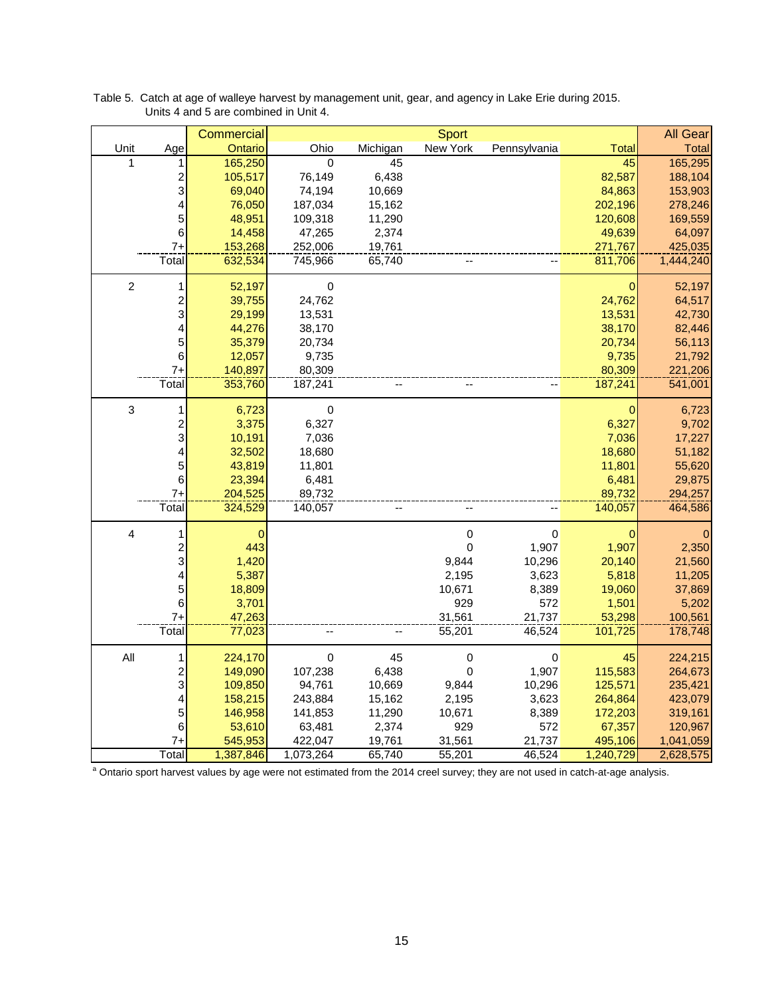|                  |               | <b>Commercial</b> |                   |                 | <b>Sport</b>  |                 |                   | <b>All Gear</b>        |
|------------------|---------------|-------------------|-------------------|-----------------|---------------|-----------------|-------------------|------------------------|
| Unit             | Age           | Ontario           | Ohio              | Michigan        | New York      | Pennsylvania    | <b>Total</b>      | <b>Total</b>           |
| 1                | 1             | 165,250           | $\overline{0}$    | 45              |               |                 | 45                | 165,295                |
|                  | $\frac{2}{3}$ | 105,517           | 76,149            | 6,438           |               |                 | 82,587            | 188,104                |
|                  |               | 69,040            | 74,194            | 10,669          |               |                 | 84,863            | 153,903                |
|                  | 4             | 76,050            | 187,034           | 15,162          |               |                 | 202,196           | 278,246                |
|                  | 5             | 48,951            | 109,318           | 11,290          |               |                 | 120,608           | 169,559                |
|                  | 6             | 14,458            | 47,265            | 2,374           |               |                 | 49,639            | 64,097                 |
|                  | $7+$          | 153,268           | 252,006           | 19,761          |               |                 | 271,767           | 425,035                |
|                  | Total         | 632,534           | 745,966           | 65,740          |               |                 | 811,706           | 1,444,240              |
| $\boldsymbol{2}$ | 1             | 52,197            | $\pmb{0}$         |                 |               |                 | 0                 | 52,197                 |
|                  |               | 39,755            | 24,762            |                 |               |                 | 24,762            | 64,517                 |
|                  | 2<br>3        | 29,199            | 13,531            |                 |               |                 | 13,531            | 42,730                 |
|                  | 4             | 44,276            | 38,170            |                 |               |                 | 38,170            | 82,446                 |
|                  | 5             | 35,379            | 20,734            |                 |               |                 | 20,734            | 56,113                 |
|                  | 6             | 12,057            | 9,735             |                 |               |                 | 9,735             | 21,792                 |
|                  | $7+$          | 140,897           | 80,309            |                 |               |                 | 80,309            | 221,206                |
|                  | Total         | 353,760           | 187,241           |                 |               |                 | 187,241           | 541,001                |
| 3                | 1             | 6,723             | $\pmb{0}$         |                 |               |                 | 0                 | 6,723                  |
|                  |               | 3,375             | 6,327             |                 |               |                 | 6,327             | 9,702                  |
|                  | $\frac{2}{3}$ | 10,191            | 7,036             |                 |               |                 | 7,036             | 17,227                 |
|                  | 4             | 32,502            | 18,680            |                 |               |                 | 18,680            | 51,182                 |
|                  | 5             | 43,819            | 11,801            |                 |               |                 | 11,801            | 55,620                 |
|                  | 6             | 23,394            | 6,481             |                 |               |                 | 6,481             | 29,875                 |
|                  | $7+$          | 204,525           | 89,732            |                 |               |                 | 89,732            | 294,257                |
|                  | Total         | 324,529           | 140,057           |                 |               |                 | 140,057           | 464,586                |
|                  |               |                   |                   |                 |               |                 |                   |                        |
| 4                | 1             | $\mathbf 0$       |                   |                 | 0<br>0        | $\,0\,$         | 0                 | 0                      |
|                  | 2<br>3        | 443<br>1,420      |                   |                 | 9,844         | 1,907<br>10,296 | 1,907<br>20,140   | 2,350<br>21,560        |
|                  | 4             | 5,387             |                   |                 | 2,195         | 3,623           | 5,818             | 11,205                 |
|                  | 5             | 18,809            |                   |                 | 10,671        | 8,389           | 19,060            | 37,869                 |
|                  | 6             | 3,701             |                   |                 | 929           | 572             | 1,501             | 5,202                  |
|                  | $7+$          | 47,263            |                   |                 | 31,561        | 21,737          | 53,298            | 100,561                |
|                  | Total         | 77,023            |                   |                 | 55,201        | 46,524          | 101,725           | 178,748                |
|                  |               |                   |                   |                 |               |                 |                   |                        |
| All              | 1             | 224,170           | $\pmb{0}$         | 45              | $\pmb{0}$     | $\mathbf 0$     | 45                | 224,215                |
|                  | 2<br>3        | 149,090           | 107,238           | 6,438           | 0             | 1,907           | 115,583           | 264,673                |
|                  |               | 109,850           | 94,761            | 10,669          | 9,844         | 10,296          | 125,571           | 235,421                |
|                  | 4             | 158,215           | 243,884           | 15,162          | 2,195         | 3,623           | 264,864           | 423,079                |
|                  | 5             | 146,958           | 141,853           | 11,290          | 10,671<br>929 | 8,389<br>572    | 172,203           | 319,161                |
|                  | 6             | 53,610<br>545,953 | 63,481<br>422,047 | 2,374<br>19,761 | 31,561        | 21,737          | 67,357<br>495,106 | 120,967                |
|                  | 7+<br>Total   | 1,387,846         | 1,073,264         | 65,740          | 55,201        | 46,524          | 1,240,729         | 1,041,059<br>2,628,575 |
|                  |               |                   |                   |                 |               |                 |                   |                        |

Table 5. Catch at age of walleye harvest by management unit, gear, and agency in Lake Erie during 2015. Units 4 and 5 are combined in Unit 4.

<sup>a</sup> Ontario sport harvest values by age were not estimated from the 2014 creel survey; they are not used in catch-at-age analysis.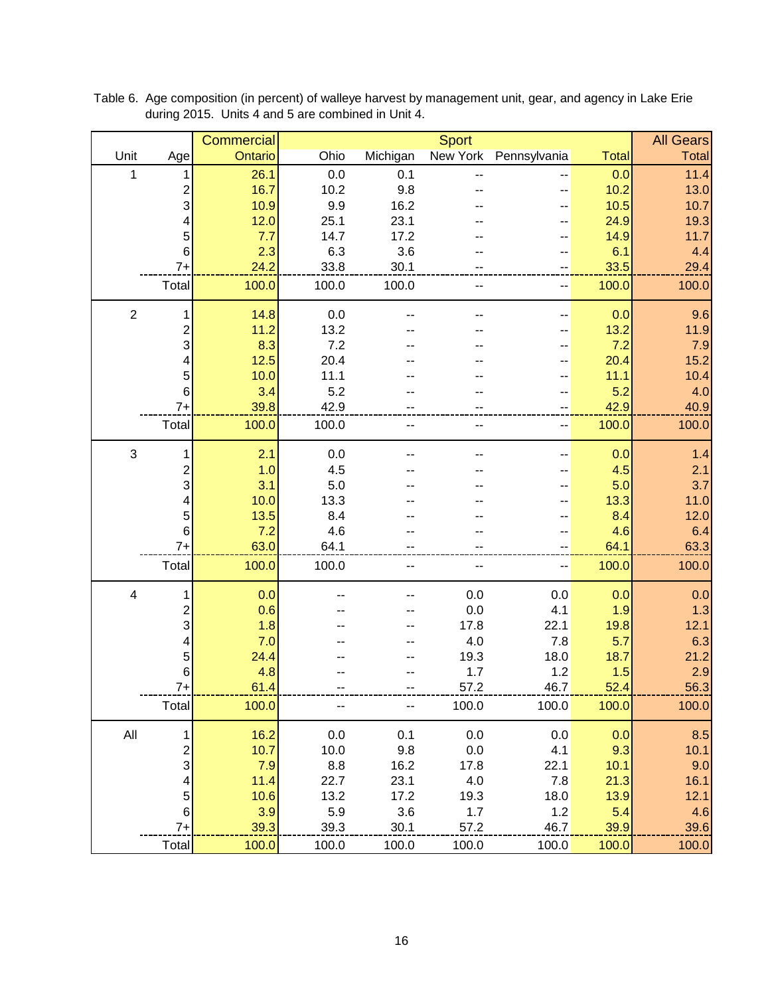|                           |                         | <b>Commercial</b> |       |          | <b>Sport</b> |              |              | <b>All Gears</b> |
|---------------------------|-------------------------|-------------------|-------|----------|--------------|--------------|--------------|------------------|
| Unit                      | Age                     | Ontario           | Ohio  | Michigan | New York     | Pennsylvania | <b>Total</b> | Total            |
| 1                         | 1                       | 26.1              | 0.0   | 0.1      |              |              | 0.0          | 11.4             |
|                           | 2                       | 16.7              | 10.2  | 9.8      |              |              | 10.2         | 13.0             |
|                           | 3                       | 10.9              | 9.9   | 16.2     |              |              | 10.5         | 10.7             |
|                           | 4                       | 12.0              | 25.1  | 23.1     |              |              | 24.9         | 19.3             |
|                           | 5                       | 7.7               | 14.7  | 17.2     |              |              | 14.9         | 11.7             |
|                           | 6                       | 2.3               | 6.3   | 3.6      |              |              | 6.1          | 4.4              |
|                           | $7+$                    | 24.2              | 33.8  | 30.1     |              |              | 33.5         | 29.4             |
|                           | Total                   | 100.0             | 100.0 | 100.0    |              |              | 100.0        | 100.0            |
| $\overline{2}$            | 1                       | 14.8              | 0.0   |          |              |              | 0.0          | 9.6              |
|                           | 2                       | 11.2              | 13.2  |          |              |              | 13.2         | 11.9             |
|                           | 3                       | 8.3               | 7.2   |          |              |              | 7.2          | 7.9              |
|                           | 4                       | $12.5$            | 20.4  |          |              |              | 20.4         | 15.2             |
|                           | 5                       | 10.0              | 11.1  |          |              |              | 11.1         | 10.4             |
|                           | $\,6$                   | 3.4               | 5.2   |          |              |              | 5.2          | 4.0              |
|                           | $7+$                    | 39.8              | 42.9  |          |              |              | 42.9         | 40.9             |
|                           | Total                   | 100.0             | 100.0 |          |              |              | 100.0        | 100.0            |
| $\ensuremath{\mathsf{3}}$ | 1                       | 2.1               | 0.0   |          |              |              | 0.0          | 1.4              |
|                           | 2                       | 1.0               | 4.5   |          |              |              | 4.5          | 2.1              |
|                           | 3                       | 3.1               | 5.0   |          |              |              | 5.0          | 3.7              |
|                           | 4                       | 10.0              | 13.3  |          |              |              | 13.3         | 11.0             |
|                           | 5                       | 13.5              | 8.4   |          |              |              | 8.4          | 12.0             |
|                           | 6                       | 7.2               | 4.6   |          |              |              | 4.6          | 6.4              |
|                           | $7+$                    | 63.0              | 64.1  |          |              |              | 64.1         | 63.3             |
|                           | Total                   | 100.0             | 100.0 | --       |              | --           | 100.0        | 100.0            |
| 4                         |                         | 0.0               |       |          | 0.0          | 0.0          | 0.0          | 0.0              |
|                           | 2                       | 0.6               |       |          | 0.0          | 4.1          | 1.9          | 1.3              |
|                           | 3                       | 1.8               |       |          | 17.8         | 22.1         | 19.8         | 12.1             |
|                           | 4                       | 7.0               |       |          | 4.0          | 7.8          | 5.7          | 6.3              |
|                           | 5                       | 24.4              |       |          | 19.3         | 18.0         | 18.7         | 21.2             |
|                           | 6                       | 4.8               |       |          | 1.7          | 1.2          | 1.5          | 2.9              |
|                           | $7+$                    | 61.4              |       |          | 57.2         | 46.7         | 52.4         | 56.3             |
|                           | Total                   | 100.0             |       | --       | 100.0        | 100.0        | 100.0        | 100.0            |
| $\mathsf{All}$            | 1                       | 16.2              | 0.0   | 0.1      | 0.0          | 0.0          | 0.0          | 8.5              |
|                           | $\overline{\mathbf{c}}$ | 10.7              | 10.0  | 9.8      | 0.0          | 4.1          | 9.3          | 10.1             |
|                           | 3                       | 7.9               | 8.8   | 16.2     | 17.8         | 22.1         | 10.1         | 9.0              |
|                           | 4                       | 11.4              | 22.7  | 23.1     | 4.0          | 7.8          | 21.3         | 16.1             |
|                           | 5                       | 10.6              | 13.2  | 17.2     | 19.3         | 18.0         | 13.9         | 12.1             |
|                           | 6                       | 3.9               | 5.9   | 3.6      | 1.7          | 1.2          | 5.4          | 4.6              |
|                           | $7+$                    | 39.3              | 39.3  | 30.1     | 57.2         | 46.7         | 39.9         | 39.6             |
|                           | Total                   | 100.0             | 100.0 | 100.0    | 100.0        | 100.0        | 100.0        | 100.0            |

Table 6. Age composition (in percent) of walleye harvest by management unit, gear, and agency in Lake Erie during 2015. Units 4 and 5 are combined in Unit 4.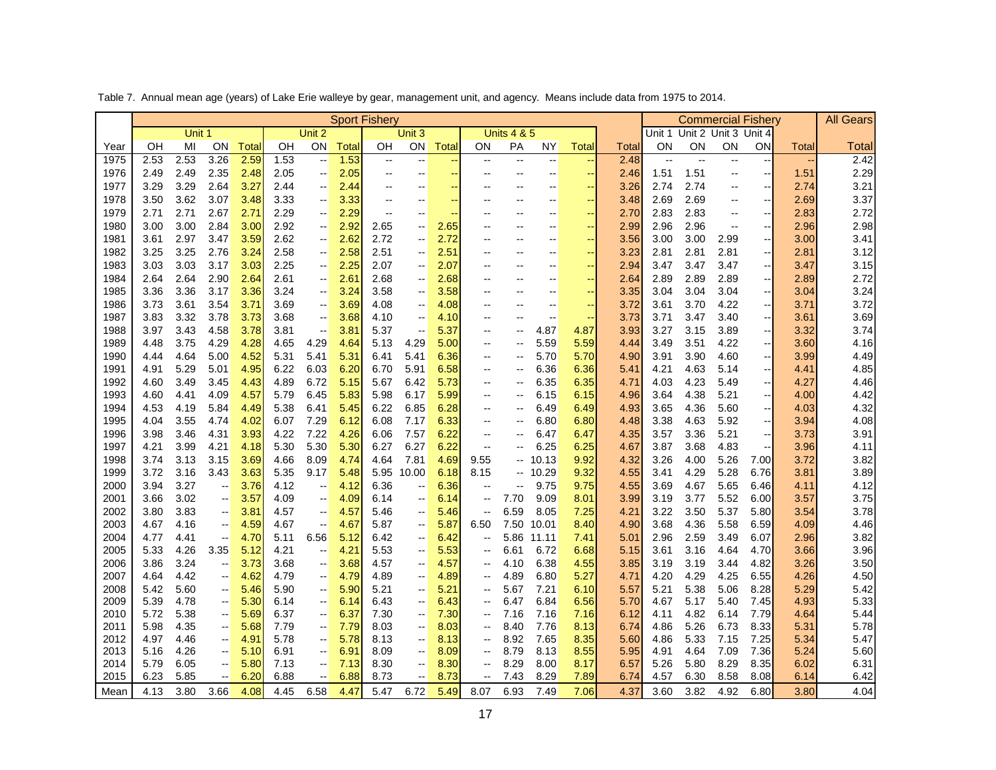|      |      | <b>Sport Fishery</b> |                                               |       |      |                                               |       |                          |                                               |                          |                                               |                          |                          |       |       | <b>Commercial Fishery</b> |                          |                          | <b>All Gears</b>                    |       |              |
|------|------|----------------------|-----------------------------------------------|-------|------|-----------------------------------------------|-------|--------------------------|-----------------------------------------------|--------------------------|-----------------------------------------------|--------------------------|--------------------------|-------|-------|---------------------------|--------------------------|--------------------------|-------------------------------------|-------|--------------|
|      |      | Unit 1               |                                               |       |      | Unit 2                                        |       |                          | Unit 3                                        |                          |                                               | <b>Units 4 &amp; 5</b>   |                          |       |       | Unit 1                    |                          | Unit 2 Unit 3 Unit 4     |                                     |       |              |
| Year | OΗ   | MI                   | ON                                            | Total | OΗ   | ON                                            | Total | OН                       | ON                                            | Total                    | ON                                            | PA                       | NΥ                       | Total | Total | ΟN                        | ΟN                       | ON                       | ΟN                                  | Total | <b>Total</b> |
| 1975 | 2.53 | 2.53                 | 3.26                                          | 2.59  | 1.53 | $\overline{\phantom{a}}$                      | 1.53  | $\overline{\phantom{a}}$ | $-$                                           |                          | $-$                                           | $\overline{a}$           |                          |       | 2.48  |                           | $\overline{\phantom{a}}$ | $-$                      | $\overline{\phantom{a}}$            |       | 2.42         |
| 1976 | 2.49 | 2.49                 | 2.35                                          | 2.48  | 2.05 | $\overline{\phantom{a}}$                      | 2.05  | $\overline{\phantom{a}}$ |                                               |                          | $-$                                           | $\overline{\phantom{a}}$ |                          |       | 2.46  | 1.51                      | 1.51                     | $-$                      | $\overline{\phantom{a}}$            | 1.51  | 2.29         |
| 1977 | 3.29 | 3.29                 | 2.64                                          | 3.27  | 2.44 | $\overline{\phantom{a}}$                      | 2.44  |                          |                                               |                          |                                               |                          |                          |       | 3.26  | 2.74                      | 2.74                     |                          | $\overline{\phantom{a}}$            | 2.74  | 3.21         |
| 1978 | 3.50 | 3.62                 | 3.07                                          | 3.48  | 3.33 | $\overline{\phantom{a}}$                      | 3.33  | $\overline{a}$           |                                               | $\overline{\phantom{a}}$ |                                               | --                       | --                       |       | 3.48  | 2.69                      | 2.69                     |                          | $\qquad \qquad \qquad \blacksquare$ | 2.69  | 3.37         |
| 1979 | 2.71 | 2.71                 | 2.67                                          | 2.71  | 2.29 | $\overline{\phantom{a}}$                      | 2.29  | --                       | $\overline{a}$                                |                          |                                               | --                       |                          |       | 2.70  | 2.83                      | 2.83                     | $\overline{\phantom{a}}$ | $\overline{\phantom{a}}$            | 2.83  | 2.72         |
| 1980 | 3.00 | 3.00                 | 2.84                                          | 3.00  | 2.92 | $\overline{\phantom{a}}$                      | 2.92  | 2.65                     | $-$                                           | 2.65                     | $-$                                           | $\overline{a}$           | $\overline{\phantom{a}}$ |       | 2.99  | 2.96                      | 2.96                     | --                       | $\overline{\phantom{a}}$            | 2.96  | 2.98         |
| 1981 | 3.61 | 2.97                 | 3.47                                          | 3.59  | 2.62 | $\overline{\phantom{a}}$                      | 2.62  | 2.72                     | $-$                                           | 2.72                     |                                               | $\overline{\phantom{a}}$ |                          |       | 3.56  | 3.00                      | 3.00                     | 2.99                     | $\overline{\phantom{a}}$            | 3.00  | 3.41         |
| 1982 | 3.25 | 3.25                 | 2.76                                          | 3.24  | 2.58 | $\overline{\phantom{a}}$                      | 2.58  | 2.51                     | $\overline{\phantom{a}}$                      | 2.51                     | $-$                                           | $-$                      | $-$                      |       | 3.23  | 2.81                      | 2.81                     | 2.81                     | $\qquad \qquad \qquad \blacksquare$ | 2.81  | 3.12         |
| 1983 | 3.03 | 3.03                 | 3.17                                          | 3.03  | 2.25 | $-$                                           | 2.25  | 2.07                     | $\overline{\phantom{a}}$                      | 2.07                     | $-$                                           | $\overline{a}$           | $-$                      |       | 2.94  | 3.47                      | 3.47                     | 3.47                     | $\overline{\phantom{a}}$            | 3.47  | 3.15         |
| 1984 | 2.64 | 2.64                 | 2.90                                          | 2.64  | 2.61 | $\overline{\phantom{a}}$                      | 2.61  | 2.68                     | $\overline{\phantom{m}}$                      | 2.68                     |                                               |                          |                          |       | 2.64  | 2.89                      | 2.89                     | 2.89                     | н,                                  | 2.89  | 2.72         |
| 1985 | 3.36 | 3.36                 | 3.17                                          | 3.36  | 3.24 | $\overline{\phantom{a}}$                      | 3.24  | 3.58                     | $\overline{\phantom{a}}$                      | 3.58                     | --                                            | Ξ.                       | --                       |       | 3.35  | 3.04                      | 3.04                     | 3.04                     | $\overline{\phantom{a}}$            | 3.04  | 3.24         |
| 1986 | 3.73 | 3.61                 | 3.54                                          | 3.71  | 3.69 | $\overline{\phantom{a}}$                      | 3.69  | 4.08                     | $\overline{\phantom{a}}$                      | 4.08                     | $-$                                           | $-$                      | $-$                      |       | 3.72  | 3.61                      | 3.70                     | 4.22                     | $\overline{\phantom{a}}$            | 3.71  | 3.72         |
| 1987 | 3.83 | 3.32                 | 3.78                                          | 3.73  | 3.68 | $\overline{\phantom{a}}$                      | 3.68  | 4.10                     | $\overline{\phantom{a}}$                      | 4.10                     |                                               |                          |                          |       | 3.73  | 3.71                      | 3.47                     | 3.40                     | $\overline{\phantom{a}}$            | 3.61  | 3.69         |
| 1988 | 3.97 | 3.43                 | 4.58                                          | 3.78  | 3.81 | $\overline{\phantom{a}}$                      | 3.81  | 5.37                     | $\overline{\phantom{a}}$                      | 5.37                     | $-$                                           | $\overline{a}$           | 4.87                     | 4.87  | 3.93  | 3.27                      | 3.15                     | 3.89                     | $\overline{\phantom{a}}$            | 3.32  | 3.74         |
| 1989 | 4.48 | 3.75                 | 4.29                                          | 4.28  | 4.65 | 4.29                                          | 4.64  | 5.13                     | 4.29                                          | 5.00                     | $\overline{\phantom{a}}$                      | $\overline{\phantom{a}}$ | 5.59                     | 5.59  | 4.44  | 3.49                      | 3.51                     | 4.22                     | --                                  | 3.60  | 4.16         |
| 1990 | 4.44 | 4.64                 | 5.00                                          | 4.52  | 5.31 | 5.41                                          | 5.31  | 6.41                     | 5.41                                          | 6.36                     | $-$                                           | --                       | 5.70                     | 5.70  | 4.90  | 3.91                      | 3.90                     | 4.60                     | --                                  | 3.99  | 4.49         |
| 1991 | 4.91 | 5.29                 | 5.01                                          | 4.95  | 6.22 | 6.03                                          | 6.20  | 6.70                     | 5.91                                          | 6.58                     | $-$                                           | $\overline{a}$           | 6.36                     | 6.36  | 5.41  | 4.21                      | 4.63                     | 5.14                     | $\overline{\phantom{a}}$            | 4.41  | 4.85         |
| 1992 | 4.60 | 3.49                 | 3.45                                          | 4.43  | 4.89 | 6.72                                          | 5.15  | 5.67                     | 6.42                                          | 5.73                     | $-$                                           | $\overline{\phantom{a}}$ | 6.35                     | 6.35  | 4.71  | 4.03                      | 4.23                     | 5.49                     | $\sim$                              | 4.27  | 4.46         |
| 1993 | 4.60 | 4.41                 | 4.09                                          | 4.57  | 5.79 | 6.45                                          | 5.83  | 5.98                     | 6.17                                          | 5.99                     | $-$                                           |                          | 6.15                     | 6.15  | 4.96  | 3.64                      | 4.38                     | 5.21                     | $\left\vert \cdot\right\vert$       | 4.00  | 4.42         |
| 1994 | 4.53 | 4.19                 | 5.84                                          | 4.49  | 5.38 | 6.41                                          | 5.45  | 6.22                     | 6.85                                          | 6.28                     | $-$                                           | $\overline{a}$           | 6.49                     | 6.49  | 4.93  | 3.65                      | 4.36                     | 5.60                     | $\overline{\phantom{a}}$            | 4.03  | 4.32         |
| 1995 | 4.04 | 3.55                 | 4.74                                          | 4.02  | 6.07 | 7.29                                          | 6.12  | 6.08                     | 7.17                                          | 6.33                     | $\overline{\phantom{a}}$                      | $\overline{\phantom{a}}$ | 6.80                     | 6.80  | 4.48  | 3.38                      | 4.63                     | 5.92                     | $\overline{\phantom{a}}$            | 3.94  | 4.08         |
| 1996 | 3.98 | 3.46                 | 4.31                                          | 3.93  | 4.22 | 7.22                                          | 4.26  | 6.06                     | 7.57                                          | 6.22                     | $-$                                           | $-$                      | 6.47                     | 6.47  | 4.35  | 3.57                      | 3.36                     | 5.21                     | $\overline{\phantom{a}}$            | 3.73  | 3.91         |
| 1997 | 4.21 | 3.99                 | 4.21                                          | 4.18  | 5.30 | 5.30                                          | 5.30  | 6.27                     | 6.27                                          | 6.22                     | $\overline{\phantom{a}}$                      |                          | 6.25                     | 6.25  | 4.67  | 3.87                      | 3.68                     | 4.83                     | $\overline{\phantom{a}}$            | 3.96  | 4.11         |
| 1998 | 3.74 | 3.13                 | 3.15                                          | 3.69  | 4.66 | 8.09                                          | 4.74  | 4.64                     | 7.81                                          | 4.69                     | 9.55                                          | −−                       | 10.13                    | 9.92  | 4.32  | 3.26                      | 4.00                     | 5.26                     | 7.00                                | 3.72  | 3.82         |
| 1999 | 3.72 | 3.16                 | 3.43                                          | 3.63  | 5.35 | 9.17                                          | 5.48  |                          | 5.95 10.00                                    | 6.18                     | 8.15                                          |                          | $- 10.29$                | 9.32  | 4.55  | 3.41                      | 4.29                     | 5.28                     | 6.76                                | 3.81  | 3.89         |
| 2000 | 3.94 | 3.27                 | $\overline{\phantom{a}}$                      | 3.76  | 4.12 | $\overline{\phantom{a}}$                      | 4.12  | 6.36                     | $-$                                           | 6.36                     |                                               | $\overline{\phantom{a}}$ | 9.75                     | 9.75  | 4.55  | 3.69                      | 4.67                     | 5.65                     | 6.46                                | 4.11  | 4.12         |
| 2001 | 3.66 | 3.02                 | $\overline{\phantom{a}}$                      | 3.57  | 4.09 | $\overline{\phantom{a}}$                      | 4.09  | 6.14                     | $\overline{\phantom{m}}$                      | 6.14                     | $\overline{\phantom{m}}$                      | 7.70                     | 9.09                     | 8.01  | 3.99  | 3.19                      | 3.77                     | 5.52                     | 6.00                                | 3.57  | 3.75         |
| 2002 | 3.80 | 3.83                 | $\mathord{\hspace{1pt}\text{--}\hspace{1pt}}$ | 3.81  | 4.57 | $\overline{\phantom{a}}$                      | 4.57  | 5.46                     | $\mathord{\hspace{1pt}\text{--}\hspace{1pt}}$ | 5.46                     | $\overline{\phantom{a}}$                      | 6.59                     | 8.05                     | 7.25  | 4.21  | 3.22                      | 3.50                     | 5.37                     | 5.80                                | 3.54  | 3.78         |
| 2003 | 4.67 | 4.16                 | --                                            | 4.59  | 4.67 | $\overline{\phantom{a}}$                      | 4.67  | 5.87                     | $\overline{\phantom{a}}$                      | 5.87                     | 6.50                                          | 7.50                     | 10.01                    | 8.40  | 4.90  | 3.68                      | 4.36                     | 5.58                     | 6.59                                | 4.09  | 4.46         |
| 2004 | 4.77 | 4.41                 | $\overline{\phantom{a}}$                      | 4.7C  | 5.11 | 6.56                                          | 5.12  | 6.42                     | $\overline{\phantom{a}}$                      | 6.42                     | $\overline{\phantom{a}}$                      | 5.86                     | 11.11                    | 7.41  | 5.01  | 2.96                      | 2.59                     | 3.49                     | 6.07                                | 2.96  | 3.82         |
| 2005 | 5.33 | 4.26                 | 3.35                                          | 5.12  | 4.21 | $\mathord{\hspace{1pt}\text{--}\hspace{1pt}}$ | 4.21  | 5.53                     | $\overline{\phantom{a}}$                      | 5.53                     | $\mathord{\hspace{1pt}\text{--}\hspace{1pt}}$ | 6.61                     | 6.72                     | 6.68  | 5.15  | 3.61                      | 3.16                     | 4.64                     | 4.70                                | 3.66  | 3.96         |
| 2006 | 3.86 | 3.24                 | --                                            | 3.73  | 3.68 | $\overline{\phantom{a}}$                      | 3.68  | 4.57                     |                                               | 4.57                     | --                                            | 4.10                     | 6.38                     | 4.55  | 3.85  | 3.19                      | 3.19                     | 3.44                     | 4.82                                | 3.26  | 3.50         |
| 2007 | 4.64 | 4.42                 | $\overline{\phantom{a}}$                      | 4.62  | 4.79 | $\overline{\phantom{a}}$                      | 4.79  | 4.89                     | $\overline{\phantom{a}}$                      | 4.89                     | $\overline{\phantom{a}}$                      | 4.89                     | 6.80                     | 5.27  | 4.71  | 4.20                      | 4.29                     | 4.25                     | 6.55                                | 4.26  | 4.50         |
| 2008 | 5.42 | 5.60                 | $\overline{\phantom{a}}$                      | 5.46  | 5.90 | $\overline{\phantom{a}}$                      | 5.90  | 5.21                     | $\overline{\phantom{a}}$                      | 5.21                     |                                               | 5.67                     | 7.21                     | 6.10  | 5.57  | 5.21                      | 5.38                     | 5.06                     | 8.28                                | 5.29  | 5.42         |
| 2009 | 5.39 | 4.78                 | $\overline{\phantom{a}}$                      | 5.30  | 6.14 | $\overline{\phantom{a}}$                      | 6.14  | 6.43                     | $\overline{\phantom{a}}$                      | 6.43                     | $\overline{\phantom{a}}$                      | 6.47                     | 6.84                     | 6.56  | 5.70  | 4.67                      | 5.17                     | 5.40                     | 7.45                                | 4.93  | 5.33         |
| 2010 | 5.72 | 5.38                 | $\overline{\phantom{a}}$                      | 5.69  | 6.37 | $\overline{\phantom{a}}$                      | 6.37  | 7.30                     | $\overline{\phantom{a}}$                      | 7.30                     | $-$                                           | 7.16                     | 7.16                     | 7.16  | 6.12  | 4.11                      | 4.82                     | 6.14                     | 7.79                                | 4.64  | 5.44         |
| 2011 | 5.98 | 4.35                 | $-$                                           | 5.68  | 7.79 | $-$                                           | 7.79  | 8.03                     | $\overline{a}$                                | 8.03                     | $-$                                           | 8.40                     | 7.76                     | 8.13  | 6.74  | 4.86                      | 5.26                     | 6.73                     | 8.33                                | 5.31  | 5.78         |
| 2012 | 4.97 | 4.46                 | $\mathord{\hspace{1pt}\text{--}\hspace{1pt}}$ | 4.91  | 5.78 | $\overline{\phantom{a}}$                      | 5.78  | 8.13                     | $\overline{\phantom{a}}$                      | 8.13                     | $-$                                           | 8.92                     | 7.65                     | 8.35  | 5.60  | 4.86                      | 5.33                     | 7.15                     | 7.25                                | 5.34  | 5.47         |
| 2013 | 5.16 | 4.26                 | $\mathord{\hspace{1pt}\text{--}\hspace{1pt}}$ | 5.10  | 6.91 | $\overline{\phantom{a}}$                      | 6.91  | 8.09                     | $-$                                           | 8.09                     |                                               | 8.79                     | 8.13                     | 8.55  | 5.95  | 4.91                      | 4.64                     | 7.09                     | 7.36                                | 5.24  | 5.60         |
| 2014 | 5.79 | 6.05                 | $-$                                           | 5.80  | 7.13 | $-$                                           | 7.13  | 8.30                     | $-$                                           | 8.30                     | $-$                                           | 8.29                     | 8.00                     | 8.17  | 6.57  | 5.26                      | 5.80                     | 8.29                     | 8.35                                | 6.02  | 6.31         |
| 2015 | 6.23 | 5.85                 | $\overline{\phantom{a}}$                      | 6.20  | 6.88 | $\mathbf{u}$                                  | 6.88  | 8.73                     | $\overline{\phantom{m}}$                      | 8.73                     | $\overline{\phantom{a}}$                      | 7.43                     | 8.29                     | 7.89  | 6.74  | 4.57                      | 6.30                     | 8.58                     | 8.08                                | 6.14  | 6.42         |
| Mean | 4.13 | 3.80                 | 3.66                                          | 4.08  | 4.45 | 6.58                                          | 4.47  | 5.47                     | 6.72                                          | 5.49                     | 8.07                                          | 6.93                     | 7.49                     | 7.06  | 4.37  | 3.60                      | 3.82                     | 4.92                     | 6.80                                | 3.80  | 4.04         |

Table 7. Annual mean age (years) of Lake Erie walleye by gear, management unit, and agency. Means include data from 1975 to 2014.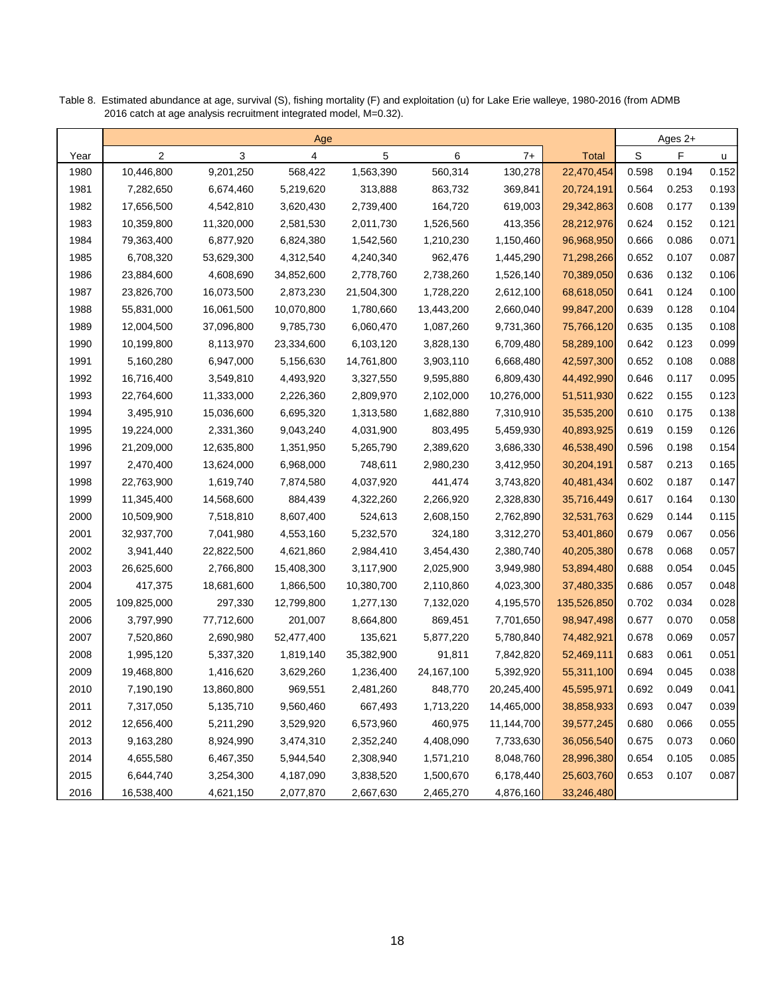|      |             |            | Age        |            |            |            |              |       | Ages 2+ |       |
|------|-------------|------------|------------|------------|------------|------------|--------------|-------|---------|-------|
| Year | 2           | 3          | 4          | 5          | 6          | $7+$       | <b>Total</b> | S     | F       | u     |
| 1980 | 10,446,800  | 9,201,250  | 568,422    | 1,563,390  | 560,314    | 130,278    | 22,470,454   | 0.598 | 0.194   | 0.152 |
| 1981 | 7,282,650   | 6,674,460  | 5,219,620  | 313,888    | 863,732    | 369,841    | 20,724,191   | 0.564 | 0.253   | 0.193 |
| 1982 | 17,656,500  | 4,542,810  | 3,620,430  | 2,739,400  | 164,720    | 619,003    | 29,342,863   | 0.608 | 0.177   | 0.139 |
| 1983 | 10,359,800  | 11,320,000 | 2,581,530  | 2,011,730  | 1,526,560  | 413,356    | 28,212,976   | 0.624 | 0.152   | 0.121 |
| 1984 | 79,363,400  | 6,877,920  | 6,824,380  | 1,542,560  | 1,210,230  | 1,150,460  | 96,968,950   | 0.666 | 0.086   | 0.071 |
| 1985 | 6,708,320   | 53,629,300 | 4,312,540  | 4,240,340  | 962,476    | 1,445,290  | 71,298,266   | 0.652 | 0.107   | 0.087 |
| 1986 | 23,884,600  | 4,608,690  | 34,852,600 | 2,778,760  | 2,738,260  | 1,526,140  | 70,389,050   | 0.636 | 0.132   | 0.106 |
| 1987 | 23,826,700  | 16,073,500 | 2,873,230  | 21,504,300 | 1,728,220  | 2,612,100  | 68,618,050   | 0.641 | 0.124   | 0.100 |
| 1988 | 55,831,000  | 16,061,500 | 10,070,800 | 1,780,660  | 13,443,200 | 2,660,040  | 99,847,200   | 0.639 | 0.128   | 0.104 |
| 1989 | 12,004,500  | 37,096,800 | 9,785,730  | 6,060,470  | 1,087,260  | 9,731,360  | 75,766,120   | 0.635 | 0.135   | 0.108 |
| 1990 | 10,199,800  | 8,113,970  | 23,334,600 | 6,103,120  | 3,828,130  | 6,709,480  | 58,289,100   | 0.642 | 0.123   | 0.099 |
| 1991 | 5,160,280   | 6,947,000  | 5,156,630  | 14,761,800 | 3,903,110  | 6,668,480  | 42,597,300   | 0.652 | 0.108   | 0.088 |
| 1992 | 16,716,400  | 3,549,810  | 4,493,920  | 3,327,550  | 9,595,880  | 6,809,430  | 44,492,990   | 0.646 | 0.117   | 0.095 |
| 1993 | 22,764,600  | 11,333,000 | 2,226,360  | 2,809,970  | 2,102,000  | 10,276,000 | 51,511,930   | 0.622 | 0.155   | 0.123 |
| 1994 | 3,495,910   | 15,036,600 | 6,695,320  | 1,313,580  | 1,682,880  | 7,310,910  | 35,535,200   | 0.610 | 0.175   | 0.138 |
| 1995 | 19,224,000  | 2,331,360  | 9,043,240  | 4,031,900  | 803,495    | 5,459,930  | 40,893,925   | 0.619 | 0.159   | 0.126 |
| 1996 | 21,209,000  | 12,635,800 | 1,351,950  | 5,265,790  | 2,389,620  | 3,686,330  | 46,538,490   | 0.596 | 0.198   | 0.154 |
| 1997 | 2,470,400   | 13,624,000 | 6,968,000  | 748,611    | 2,980,230  | 3,412,950  | 30,204,191   | 0.587 | 0.213   | 0.165 |
| 1998 | 22,763,900  | 1,619,740  | 7,874,580  | 4,037,920  | 441,474    | 3,743,820  | 40,481,434   | 0.602 | 0.187   | 0.147 |
| 1999 | 11,345,400  | 14,568,600 | 884,439    | 4,322,260  | 2,266,920  | 2,328,830  | 35,716,449   | 0.617 | 0.164   | 0.130 |
| 2000 | 10,509,900  | 7,518,810  | 8,607,400  | 524,613    | 2,608,150  | 2,762,890  | 32,531,763   | 0.629 | 0.144   | 0.115 |
| 2001 | 32,937,700  | 7,041,980  | 4,553,160  | 5,232,570  | 324,180    | 3,312,270  | 53,401,860   | 0.679 | 0.067   | 0.056 |
| 2002 | 3,941,440   | 22,822,500 | 4,621,860  | 2,984,410  | 3,454,430  | 2,380,740  | 40,205,380   | 0.678 | 0.068   | 0.057 |
| 2003 | 26,625,600  | 2,766,800  | 15,408,300 | 3,117,900  | 2,025,900  | 3,949,980  | 53,894,480   | 0.688 | 0.054   | 0.045 |
| 2004 | 417,375     | 18,681,600 | 1,866,500  | 10,380,700 | 2,110,860  | 4,023,300  | 37,480,335   | 0.686 | 0.057   | 0.048 |
| 2005 | 109,825,000 | 297,330    | 12,799,800 | 1,277,130  | 7,132,020  | 4,195,570  | 135,526,850  | 0.702 | 0.034   | 0.028 |
| 2006 | 3,797,990   | 77,712,600 | 201,007    | 8,664,800  | 869,451    | 7,701,650  | 98,947,498   | 0.677 | 0.070   | 0.058 |
| 2007 | 7,520,860   | 2,690,980  | 52,477,400 | 135,621    | 5,877,220  | 5,780,840  | 74,482,921   | 0.678 | 0.069   | 0.057 |
| 2008 | 1,995,120   | 5,337,320  | 1,819,140  | 35,382,900 | 91,811     | 7,842,820  | 52,469,111   | 0.683 | 0.061   | 0.051 |
| 2009 | 19,468,800  | 1,416,620  | 3,629,260  | 1,236,400  | 24,167,100 | 5,392,920  | 55,311,100   | 0.694 | 0.045   | 0.038 |
| 2010 | 7,190,190   | 13,860,800 | 969,551    | 2,481,260  | 848,770    | 20,245,400 | 45,595,971   | 0.692 | 0.049   | 0.041 |
| 2011 | 7,317,050   | 5,135,710  | 9,560,460  | 667,493    | 1,713,220  | 14,465,000 | 38,858,933   | 0.693 | 0.047   | 0.039 |
| 2012 | 12,656,400  | 5,211,290  | 3,529,920  | 6,573,960  | 460,975    | 11,144,700 | 39,577,245   | 0.680 | 0.066   | 0.055 |
| 2013 | 9,163,280   | 8,924,990  | 3,474,310  | 2,352,240  | 4,408,090  | 7,733,630  | 36,056,540   | 0.675 | 0.073   | 0.060 |
| 2014 | 4,655,580   | 6,467,350  | 5,944,540  | 2,308,940  | 1,571,210  | 8,048,760  | 28,996,380   | 0.654 | 0.105   | 0.085 |
| 2015 | 6,644,740   | 3,254,300  | 4,187,090  | 3,838,520  | 1,500,670  | 6,178,440  | 25,603,760   | 0.653 | 0.107   | 0.087 |
| 2016 | 16,538,400  | 4,621,150  | 2,077,870  | 2,667,630  | 2,465,270  | 4,876,160  | 33,246,480   |       |         |       |

Table 8. Estimated abundance at age, survival (S), fishing mortality (F) and exploitation (u) for Lake Erie walleye, 1980-2016 (from ADMB 2016 catch at age analysis recruitment integrated model, M=0.32).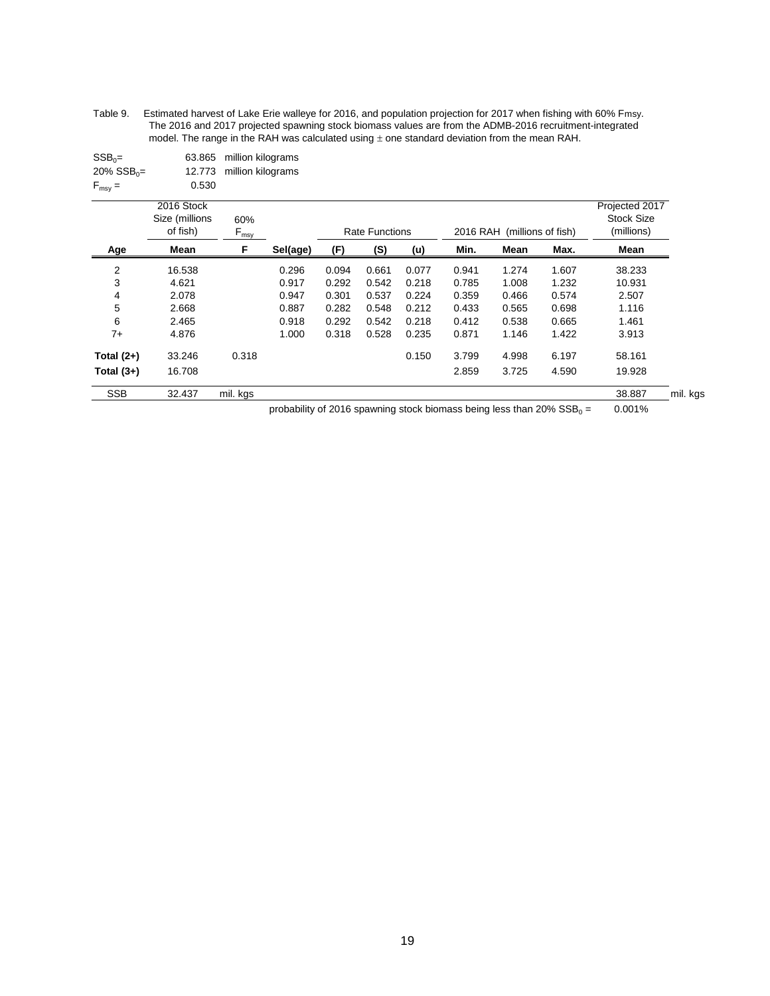Table 9. Estimated harvest of Lake Erie walleye for 2016, and population projection for 2017 when fishing with 60% Fmsy. The 2016 and 2017 projected spawning stock biomass values are from the ADMB-2016 recruitment-integrated model. The range in the RAH was calculated using  $\pm$  one standard deviation from the mean RAH.

| $SSB_0 =$                 |       | 63.865 million kilograms |
|---------------------------|-------|--------------------------|
| $20\%$ SSB <sub>0</sub> = |       | 12.773 million kilograms |
| $F_{\text{msv}} =$        | 0.530 |                          |

|                | 2016 Stock<br>Size (millions<br>of fish) | 60%<br>$F_{\underline{\text{msy}}}$ |          |       | <b>Rate Functions</b> |       |       | 2016 RAH (millions of fish) |       | Projected 2017<br><b>Stock Size</b><br>(millions) |          |
|----------------|------------------------------------------|-------------------------------------|----------|-------|-----------------------|-------|-------|-----------------------------|-------|---------------------------------------------------|----------|
| Age            | Mean                                     | F                                   | Sel(age) | (F)   | (S)                   | (u)   | Min.  | Mean                        | Max.  | Mean                                              |          |
| $\overline{2}$ | 16.538                                   |                                     | 0.296    | 0.094 | 0.661                 | 0.077 | 0.941 | 1.274                       | 1.607 | 38.233                                            |          |
| 3              | 4.621                                    |                                     | 0.917    | 0.292 | 0.542                 | 0.218 | 0.785 | 1.008                       | 1.232 | 10.931                                            |          |
| 4              | 2.078                                    |                                     | 0.947    | 0.301 | 0.537                 | 0.224 | 0.359 | 0.466                       | 0.574 | 2.507                                             |          |
| 5              | 2.668                                    |                                     | 0.887    | 0.282 | 0.548                 | 0.212 | 0.433 | 0.565                       | 0.698 | 1.116                                             |          |
| 6              | 2.465                                    |                                     | 0.918    | 0.292 | 0.542                 | 0.218 | 0.412 | 0.538                       | 0.665 | 1.461                                             |          |
| $7+$           | 4.876                                    |                                     | 1.000    | 0.318 | 0.528                 | 0.235 | 0.871 | 1.146                       | 1.422 | 3.913                                             |          |
| Total $(2+)$   | 33.246                                   | 0.318                               |          |       |                       | 0.150 | 3.799 | 4.998                       | 6.197 | 58.161                                            |          |
| Total $(3+)$   | 16.708                                   |                                     |          |       |                       |       | 2.859 | 3.725                       | 4.590 | 19.928                                            |          |
| <b>SSB</b>     | 32.437                                   | mil. kgs                            |          |       |                       |       |       |                             |       | 38.887                                            | mil. kgs |

probability of 2016 spawning stock biomass being less than 20%  $SSB_0 =$ = 0.001%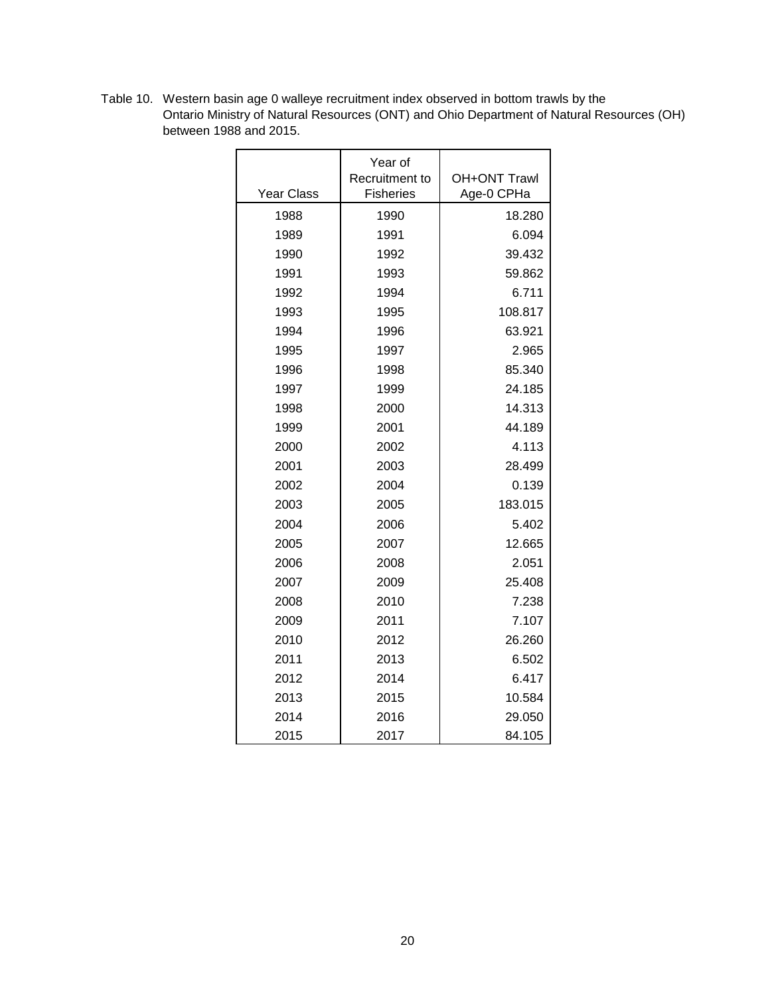| Table 10. Western basin age 0 walleye recruitment index observed in bottom trawls by the  |
|-------------------------------------------------------------------------------------------|
| Ontario Ministry of Natural Resources (ONT) and Ohio Department of Natural Resources (OH) |
| between 1988 and 2015.                                                                    |

|                   | Year of          |                     |
|-------------------|------------------|---------------------|
|                   | Recruitment to   | <b>OH+ONT Trawl</b> |
| <b>Year Class</b> | <b>Fisheries</b> | Age-0 CPHa          |
| 1988              | 1990             | 18.280              |
| 1989              | 1991             | 6.094               |
| 1990              | 1992             | 39.432              |
| 1991              | 1993             | 59.862              |
| 1992              | 1994             | 6.711               |
| 1993              | 1995             | 108.817             |
| 1994              | 1996             | 63.921              |
| 1995              | 1997             | 2.965               |
| 1996              | 1998             | 85.340              |
| 1997              | 1999             | 24.185              |
| 1998              | 2000             | 14.313              |
| 1999              | 2001             | 44.189              |
| 2000              | 2002             | 4.113               |
| 2001              | 2003             | 28.499              |
| 2002              | 2004             | 0.139               |
| 2003              | 2005             | 183.015             |
| 2004              | 2006             | 5.402               |
| 2005              | 2007             | 12.665              |
| 2006              | 2008             | 2.051               |
| 2007              | 2009             | 25.408              |
| 2008              | 2010             | 7.238               |
| 2009              | 2011             | 7.107               |
| 2010              | 2012             | 26.260              |
| 2011              | 2013             | 6.502               |
| 2012              | 2014             | 6.417               |
| 2013              | 2015             | 10.584              |
| 2014              | 2016             | 29.050              |
| 2015              | 2017             | 84.105              |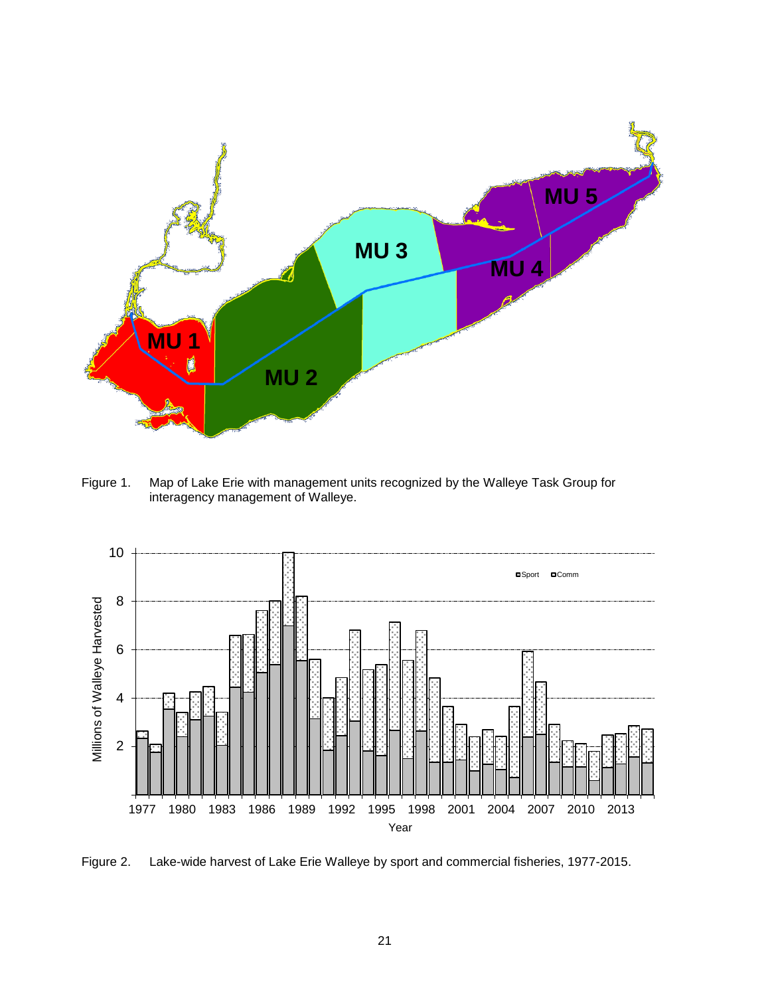

Figure 1. Map of Lake Erie with management units recognized by the Walleye Task Group for interagency management of Walleye.



Figure 2. Lake-wide harvest of Lake Erie Walleye by sport and commercial fisheries, 1977-2015.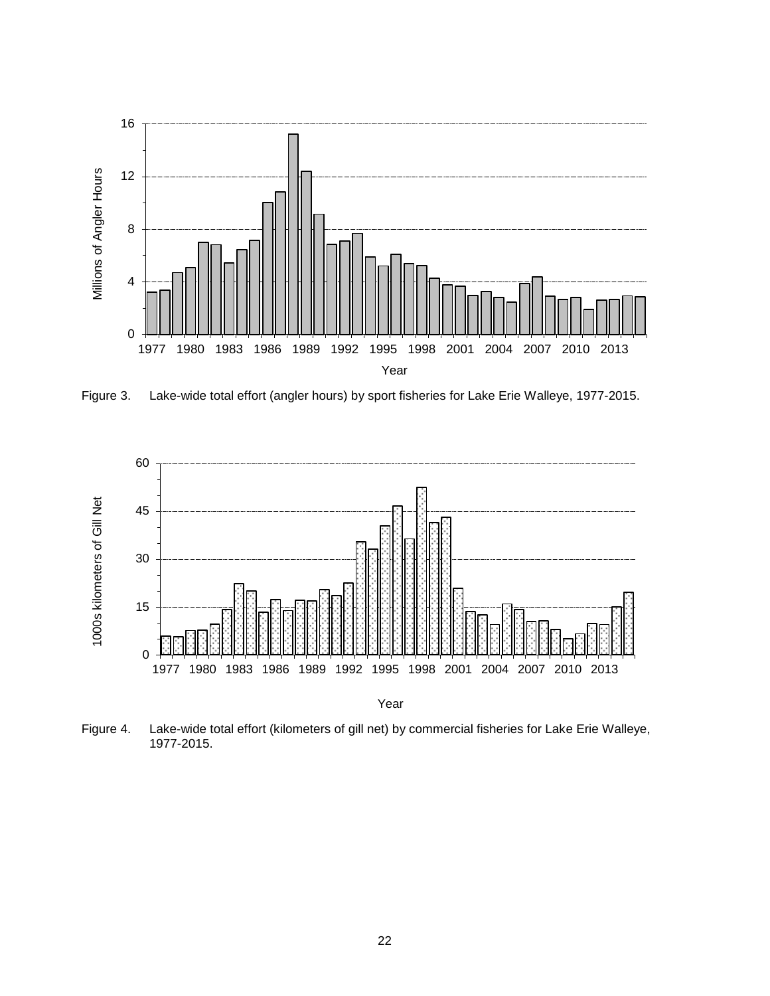

Figure 3. Lake-wide total effort (angler hours) by sport fisheries for Lake Erie Walleye, 1977-2015.



Year

Figure 4. Lake-wide total effort (kilometers of gill net) by commercial fisheries for Lake Erie Walleye, 1977-2015.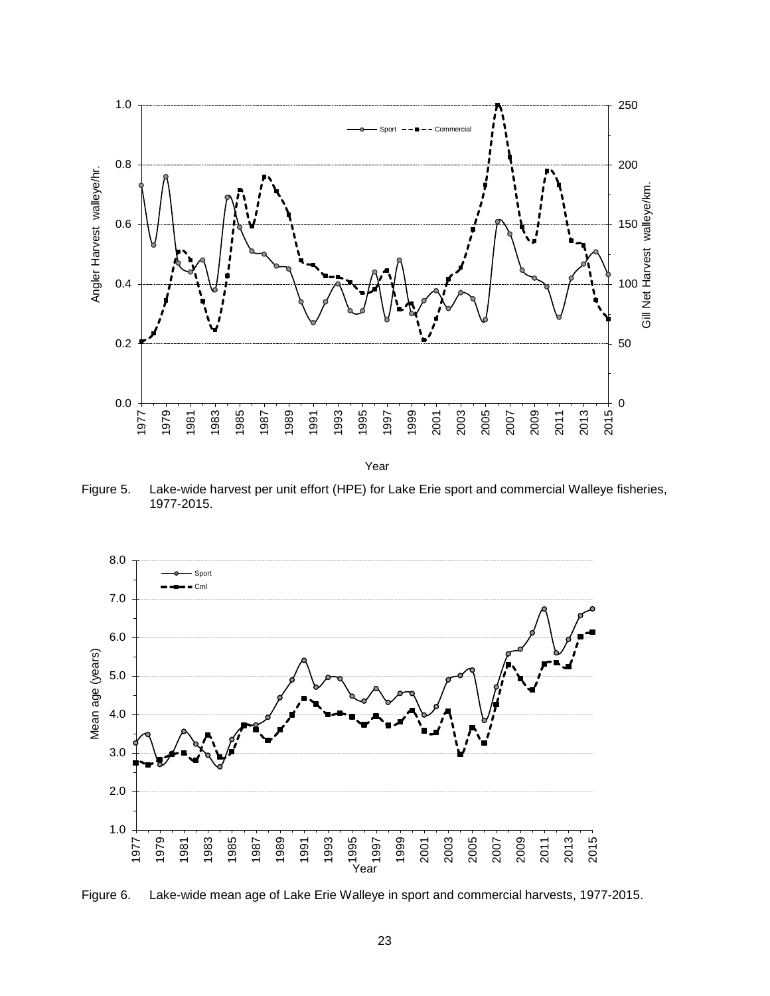

Year

Figure 5. Lake-wide harvest per unit effort (HPE) for Lake Erie sport and commercial Walleye fisheries, 1977-2015.



Figure 6. Lake-wide mean age of Lake Erie Walleye in sport and commercial harvests, 1977-2015.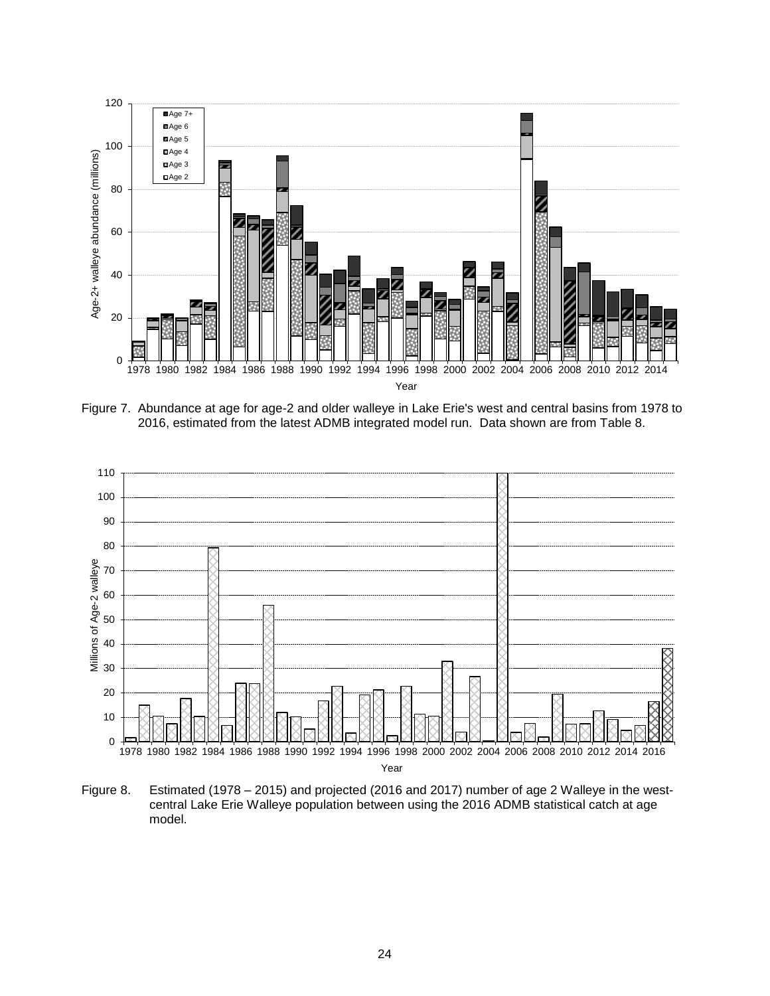

Figure 7. Abundance at age for age-2 and older walleye in Lake Erie's west and central basins from 1978 to 2016, estimated from the latest ADMB integrated model run. Data shown are from Table 8.



Figure 8. Estimated (1978 – 2015) and projected (2016 and 2017) number of age 2 Walleye in the westcentral Lake Erie Walleye population between using the 2016 ADMB statistical catch at age model.